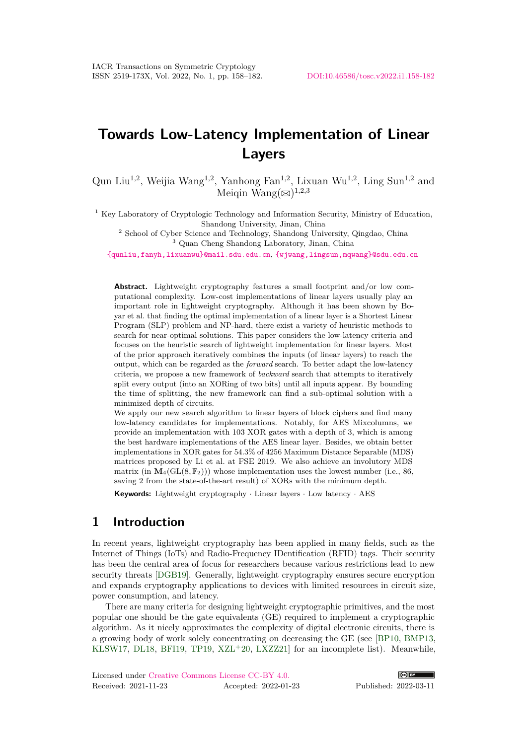# **Towards Low-Latency Implementation of Linear Layers**

Qun Liu<sup>1,2</sup>, Weijia Wang<sup>1,2</sup>, Yanhong Fan<sup>1,2</sup>, Lixuan Wu<sup>1,2</sup>, Ling Sun<sup>1,2</sup> and Meiqin  $\text{Wang}(\boxtimes)^{1,2,3}$ 

<sup>1</sup> Key Laboratory of Cryptologic Technology and Information Security, Ministry of Education, Shandong University, Jinan, China

<sup>2</sup> School of Cyber Science and Technology, Shandong University, Qingdao, China

<sup>3</sup> Quan Cheng Shandong Laboratory, Jinan, China

[{qunliu,fanyh,lixuanwu}@mail.sdu.edu.cn](mailto:qunliu@mail.sdu.edu.cn, fanyh@mail.sdu.edu.cn, lixuanwu@mail.sdu.edu.cn), [{wjwang,lingsun,mqwang}@sdu.edu.cn](mailto:wjwang@sdu.edu.cn, lingsun@sdu.edu.cn, mqwang@sdu.edu.cn)

**Abstract.** Lightweight cryptography features a small footprint and/or low computational complexity. Low-cost implementations of linear layers usually play an important role in lightweight cryptography. Although it has been shown by Boyar et al. that finding the optimal implementation of a linear layer is a Shortest Linear Program (SLP) problem and NP-hard, there exist a variety of heuristic methods to search for near-optimal solutions. This paper considers the low-latency criteria and focuses on the heuristic search of lightweight implementation for linear layers. Most of the prior approach iteratively combines the inputs (of linear layers) to reach the output, which can be regarded as the *forward* search. To better adapt the low-latency criteria, we propose a new framework of *backward* search that attempts to iteratively split every output (into an XORing of two bits) until all inputs appear. By bounding the time of splitting, the new framework can find a sub-optimal solution with a minimized depth of circuits.

We apply our new search algorithm to linear layers of block ciphers and find many low-latency candidates for implementations. Notably, for AES Mixcolumns, we provide an implementation with 103 XOR gates with a depth of 3, which is among the best hardware implementations of the AES linear layer. Besides, we obtain better implementations in XOR gates for 54*.*3% of 4256 Maximum Distance Separable (MDS) matrices proposed by Li et al. at FSE 2019. We also achieve an involutory MDS matrix (in  $\mathbf{M}_4(\text{GL}(8, \mathbb{F}_2))$ ) whose implementation uses the lowest number (i.e., 86, saving 2 from the state-of-the-art result) of XORs with the minimum depth.

**Keywords:** Lightweight cryptography · Linear layers · Low latency · AES

# <span id="page-0-0"></span>**1 Introduction**

In recent years, lightweight cryptography has been applied in many fields, such as the Internet of Things (IoTs) and Radio-Frequency IDentification (RFID) tags. Their security has been the central area of focus for researchers because various restrictions lead to new security threats [\[DGB19\]](#page-22-0). Generally, lightweight cryptography ensures secure encryption and expands cryptography applications to devices with limited resources in circuit size, power consumption, and latency.

There are many criteria for designing lightweight cryptographic primitives, and the most popular one should be the gate equivalents (GE) required to implement a cryptographic algorithm. As it nicely approximates the complexity of digital electronic circuits, there is a growing body of work solely concentrating on decreasing the GE (see [\[BP10,](#page-21-0) [BMP13,](#page-21-1) [KLSW17,](#page-22-1) [DL18,](#page-22-2) [BFI19,](#page-20-0) [TP19,](#page-23-0) [XZL](#page-23-1)+20, [LXZZ21\]](#page-23-2) for an incomplete list). Meanwhile,

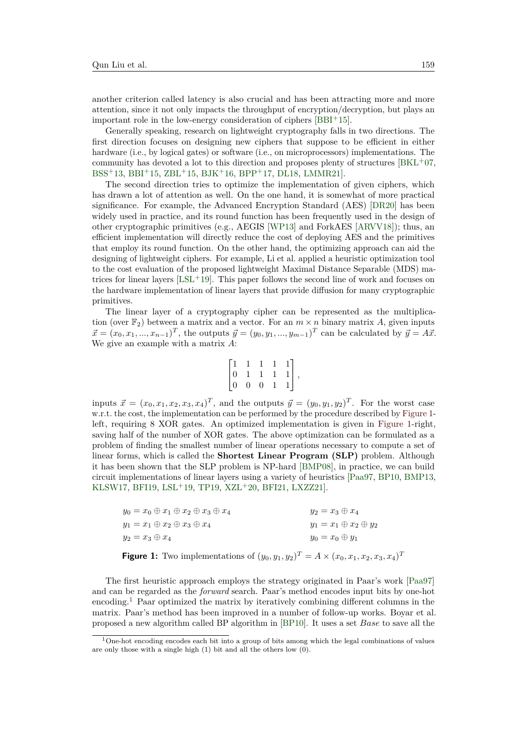another criterion called latency is also crucial and has been attracting more and more attention, since it not only impacts the throughput of encryption/decryption, but plays an important role in the low-energy consideration of ciphers  $[BBI<sup>+</sup>15]$  $[BBI<sup>+</sup>15]$ .

Generally speaking, research on lightweight cryptography falls in two directions. The first direction focuses on designing new ciphers that suppose to be efficient in either hardware (i.e., by logical gates) or software (i.e., on microprocessors) implementations. The community has devoted a lot to this direction and proposes plenty of structures  $[BKL^+07,$  $[BKL^+07,$  $BSS+13$  $BSS+13$ ,  $BBI+15$  $BBI+15$ ,  $ZBL+15$  $ZBL+15$ ,  $BJK+16$  $BJK+16$ ,  $BPP+17$  $BPP+17$ ,  $DL18$ ,  $LMMR21$ .

The second direction tries to optimize the implementation of given ciphers, which has drawn a lot of attention as well. On the one hand, it is somewhat of more practical significance. For example, the Advanced Encryption Standard (AES) [\[DR20\]](#page-22-4) has been widely used in practice, and its round function has been frequently used in the design of other cryptographic primitives (e.g., AEGIS [\[WP13\]](#page-23-4) and ForkAES [\[ARVV18\]](#page-20-2)); thus, an efficient implementation will directly reduce the cost of deploying AES and the primitives that employ its round function. On the other hand, the optimizing approach can aid the designing of lightweight ciphers. For example, Li et al. applied a heuristic optimization tool to the cost evaluation of the proposed lightweight Maximal Distance Separable (MDS) matrices for linear layers  $[LSL+19]$  $[LSL+19]$ . This paper follows the second line of work and focuses on the hardware implementation of linear layers that provide diffusion for many cryptographic primitives.

The linear layer of a cryptography cipher can be represented as the multiplication (over  $\mathbb{F}_2$ ) between a matrix and a vector. For an  $m \times n$  binary matrix A, given inputs  $\vec{x} = (x_0, x_1, ..., x_{n-1})^T$ , the outputs  $\vec{y} = (y_0, y_1, ..., y_{m-1})^T$  can be calculated by  $\vec{y} = A\vec{x}$ . We give an example with a matrix *A*:

$$
\begin{bmatrix} 1 & 1 & 1 & 1 & 1 \\ 0 & 1 & 1 & 1 & 1 \\ 0 & 0 & 0 & 1 & 1 \end{bmatrix},
$$

inputs  $\vec{x} = (x_0, x_1, x_2, x_3, x_4)^T$ , and the outputs  $\vec{y} = (y_0, y_1, y_2)^T$ . For the worst case w.r.t. the cost, the implementation can be performed by the procedure described by [Figure 1](#page-1-0) left, requiring 8 XOR gates. An optimized implementation is given in [Figure 1-](#page-1-0)right, saving half of the number of XOR gates. The above optimization can be formulated as a problem of finding the smallest number of linear operations necessary to compute a set of linear forms, which is called the **Shortest Linear Program (SLP)** problem. Although it has been shown that the SLP problem is NP-hard [\[BMP08\]](#page-21-6), in practice, we can build circuit implementations of linear layers using a variety of heuristics [\[Paa97,](#page-23-5) [BP10,](#page-21-0) [BMP13,](#page-21-1) [KLSW17,](#page-22-1) [BFI19,](#page-20-0) [LSL](#page-22-5)<sup>+</sup>19, [TP19,](#page-23-0) [XZL](#page-23-1)<sup>+</sup>20, [BFI21,](#page-20-3) [LXZZ21\]](#page-23-2).

<span id="page-1-0"></span>

| <b>Figure 1:</b> Two implementations of $(y_0, y_1, y_2)^T = A \times (x_0, x_1, x_2, x_3, x_4)^T$ |                                   |
|----------------------------------------------------------------------------------------------------|-----------------------------------|
| $y_2 = x_3 \oplus x_4$                                                                             | $y_0=x_0\oplus y_1$               |
| $y_1 = x_1 \oplus x_2 \oplus x_3 \oplus x_4$                                                       | $y_1 = x_1 \oplus x_2 \oplus y_2$ |
| $y_0 = x_0 \oplus x_1 \oplus x_2 \oplus x_3 \oplus x_4$                                            | $y_2=x_3\oplus x_4$               |

The first heuristic approach employs the strategy originated in Paar's work [\[Paa97\]](#page-23-5) and can be regarded as the *forward* search. Paar's method encodes input bits by one-hot encoding.[1](#page-1-1) Paar optimized the matrix by iteratively combining different columns in the matrix. Paar's method has been improved in a number of follow-up works. Boyar et al. proposed a new algorithm called BP algorithm in [\[BP10\]](#page-21-0). It uses a set *Base* to save all the

<span id="page-1-1"></span> $1$ One-hot encoding encodes each bit into a group of bits among which the legal combinations of values are only those with a single high (1) bit and all the others low (0).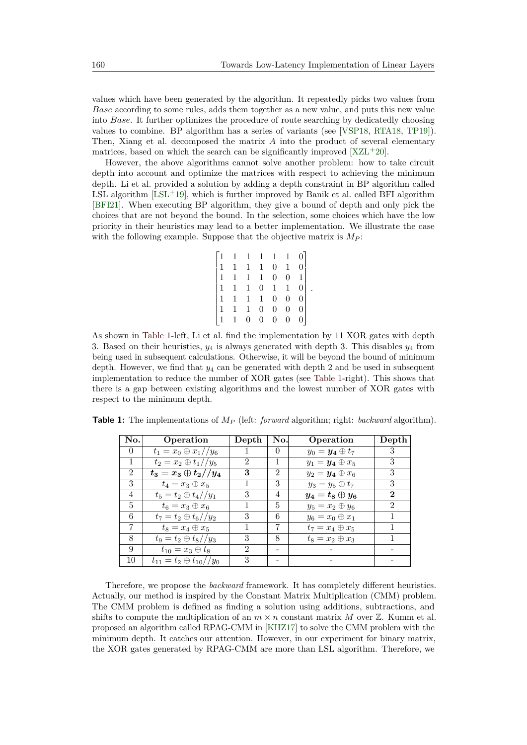values which have been generated by the algorithm. It repeatedly picks two values from *Base* according to some rules, adds them together as a new value, and puts this new value into *Base*. It further optimizes the procedure of route searching by dedicatedly choosing values to combine. BP algorithm has a series of variants (see [\[VSP18,](#page-23-6) [RTA18,](#page-23-7) [TP19\]](#page-23-0)). Then, Xiang et al. decomposed the matrix *A* into the product of several elementary matrices, based on which the search can be significantly improved  $[XZL+20]$  $[XZL+20]$ .

However, the above algorithms cannot solve another problem: how to take circuit depth into account and optimize the matrices with respect to achieving the minimum depth. Li et al. provided a solution by adding a depth constraint in BP algorithm called LSL algorithm  $[LSL+19]$  $[LSL+19]$ , which is further improved by Banik et al. called BFI algorithm [\[BFI21\]](#page-20-3). When executing BP algorithm, they give a bound of depth and only pick the choices that are not beyond the bound. In the selection, some choices which have the low priority in their heuristics may lead to a better implementation. We illustrate the case with the following example. Suppose that the objective matrix is  $M_P$ :

$$
\begin{bmatrix} 1 & 1 & 1 & 1 & 1 & 1 & 0 \\ 1 & 1 & 1 & 1 & 0 & 1 & 0 \\ 1 & 1 & 1 & 1 & 0 & 0 & 1 \\ 1 & 1 & 1 & 0 & 1 & 1 & 0 \\ 1 & 1 & 1 & 1 & 0 & 0 & 0 \\ 1 & 1 & 1 & 0 & 0 & 0 & 0 \\ 1 & 1 & 0 & 0 & 0 & 0 & 0 \end{bmatrix}.
$$

As shown in [Table 1-](#page-2-0)left, Li et al. find the implementation by 11 XOR gates with depth 3. Based on their heuristics, *y*<sup>4</sup> is always generated with depth 3. This disables *y*<sup>4</sup> from being used in subsequent calculations. Otherwise, it will be beyond the bound of minimum depth. However, we find that *y*<sup>4</sup> can be generated with depth 2 and be used in subsequent implementation to reduce the number of XOR gates (see [Table 1-](#page-2-0)right). This shows that there is a gap between existing algorithms and the lowest number of XOR gates with respect to the minimum depth.

| No.            | Operation                           | Depth          | No.            | Operation              | Depth          |
|----------------|-------------------------------------|----------------|----------------|------------------------|----------------|
| $\theta$       | $t_1 = x_0 \oplus x_1//y_6$         |                | $\theta$       | $y_0 = y_4 \oplus t_7$ | 3              |
| 1              | $t_2 = x_2 \oplus t_1 // y_5$       | 2              |                | $y_1 = y_4 \oplus x_5$ | 3              |
| $\overline{2}$ | $t_3=x_3\oplus t_2//y_4$            | 3              | $\overline{2}$ | $y_2 = y_4 \oplus x_6$ | 3              |
| 3              | $t_4=x_3\oplus x_5$                 |                | 3              | $y_3 = y_5 \oplus t_7$ | 3              |
| 4              | $t_5 = t_2 \oplus t_4//y_1$         | 3              | 4              | $y_4=t_8\oplus y_6$    | $\bf{2}$       |
| 5              | $t_6=x_3\oplus x_6$                 |                | 5              | $y_5 = x_2 \oplus y_6$ | $\mathfrak{D}$ |
| 6              | $t_7 = t_2 \oplus t_6//y_2$         | 3              | 6              | $y_6 = x_0 \oplus x_1$ |                |
| 7              | $t_8=x_4\oplus x_5$                 |                | 7              | $t_7=x_4\oplus x_5$    |                |
| 8              | $t_9 = t_2 \oplus t_8//y_3$         | 3              | 8              | $t_8=x_2\oplus x_3$    |                |
| 9              | $t_{10} = x_3 \oplus t_8$           | $\mathfrak{D}$ |                |                        |                |
| 10             | $t_{11} = t_2 \oplus t_{10} // y_0$ | 3              |                |                        |                |

<span id="page-2-0"></span>**Table 1:** The implementations of *M<sup>P</sup>* (left: *forward* algorithm; right: *backward* algorithm).

Therefore, we propose the *backward* framework. It has completely different heuristics. Actually, our method is inspired by the Constant Matrix Multiplication (CMM) problem. The CMM problem is defined as finding a solution using additions, subtractions, and shifts to compute the multiplication of an  $m \times n$  constant matrix M over  $\mathbb{Z}$ . Kumm et al. proposed an algorithm called RPAG-CMM in [\[KHZ17\]](#page-22-6) to solve the CMM problem with the minimum depth. It catches our attention. However, in our experiment for binary matrix, the XOR gates generated by RPAG-CMM are more than LSL algorithm. Therefore, we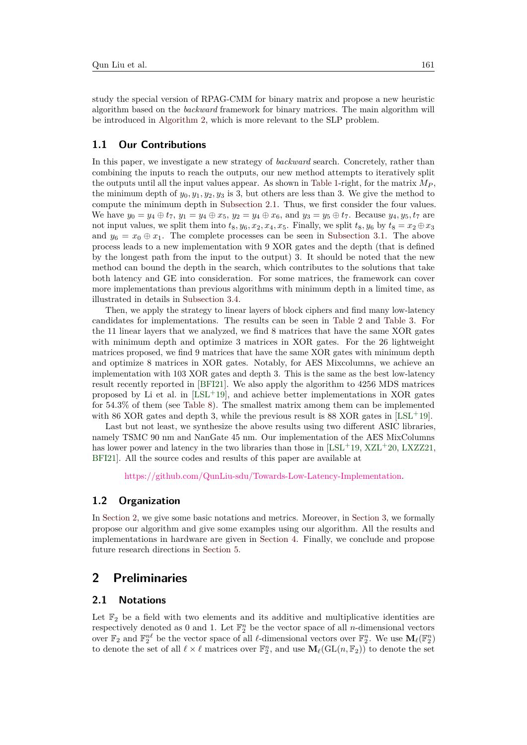study the special version of RPAG-CMM for binary matrix and propose a new heuristic algorithm based on the *backward* framework for binary matrices. The main algorithm will be introduced in [Algorithm 2,](#page-10-0) which is more relevant to the SLP problem.

# **1.1 Our Contributions**

In this paper, we investigate a new strategy of *backward* search. Concretely, rather than combining the inputs to reach the outputs, our new method attempts to iteratively split the outputs until all the input values appear. As shown in [Table 1-](#page-2-0)right, for the matrix  $M_P$ , the minimum depth of  $y_0, y_1, y_2, y_3$  is 3, but others are less than 3. We give the method to compute the minimum depth in [Subsection 2.1.](#page-3-0) Thus, we first consider the four values. We have  $y_0 = y_4 \oplus t_7$ ,  $y_1 = y_4 \oplus x_5$ ,  $y_2 = y_4 \oplus x_6$ , and  $y_3 = y_5 \oplus t_7$ . Because  $y_4, y_5, t_7$  are not input values, we split them into  $t_8, y_6, x_2, x_4, x_5$ . Finally, we split  $t_8, y_6$  by  $t_8 = x_2 \oplus x_3$ and  $y_6 = x_0 \oplus x_1$ . The complete processes can be seen in [Subsection 3.1.](#page-7-0) The above process leads to a new implementation with 9 XOR gates and the depth (that is defined by the longest path from the input to the output) 3. It should be noted that the new method can bound the depth in the search, which contributes to the solutions that take both latency and GE into consideration. For some matrices, the framework can cover more implementations than previous algorithms with minimum depth in a limited time, as illustrated in details in [Subsection 3.4.](#page-13-0)

Then, we apply the strategy to linear layers of block ciphers and find many low-latency candidates for implementations. The results can be seen in [Table 2](#page-4-0) and [Table 3.](#page-4-1) For the 11 linear layers that we analyzed, we find 8 matrices that have the same XOR gates with minimum depth and optimize 3 matrices in XOR gates. For the 26 lightweight matrices proposed, we find 9 matrices that have the same XOR gates with minimum depth and optimize 8 matrices in XOR gates. Notably, for AES Mixcolumns, we achieve an implementation with 103 XOR gates and depth 3. This is the same as the best low-latency result recently reported in [\[BFI21\]](#page-20-3). We also apply the algorithm to 4256 MDS matrices proposed by Li et al. in  $[LSL+19]$  $[LSL+19]$ , and achieve better implementations in XOR gates for 54*.*3% of them (see [Table 8\)](#page-18-0). The smallest matrix among them can be implemented with 86 XOR gates and depth 3, while the previous result is 88 XOR gates in  $[LSL^+19]$  $[LSL^+19]$ .

Last but not least, we synthesize the above results using two different ASIC libraries, namely TSMC 90 nm and NanGate 45 nm. Our implementation of the AES MixColumns has lower power and latency in the two libraries than those in  $[LSL+19, XZL+20, LXZZ21,$  $[LSL+19, XZL+20, LXZZ21,$  $[LSL+19, XZL+20, LXZZ21,$  $[LSL+19, XZL+20, LXZZ21,$  $[LSL+19, XZL+20, LXZZ21,$ [BFI21\]](#page-20-3). All the source codes and results of this paper are available at

[https://github.com/QunLiu-sdu/Towards-Low-Latency-Implementation.](https://github.com/QunLiu-sdu/Towards-Low-Latency-Implementation)

### **1.2 Organization**

In [Section 2,](#page-3-1) we give some basic notations and metrics. Moreover, in [Section 3,](#page-6-0) we formally propose our algorithm and give some examples using our algorithm. All the results and implementations in hardware are given in [Section 4.](#page-16-0) Finally, we conclude and propose future research directions in [Section 5.](#page-19-0)

# <span id="page-3-1"></span>**2 Preliminaries**

### <span id="page-3-0"></span>**2.1 Notations**

Let  $\mathbb{F}_2$  be a field with two elements and its additive and multiplicative identities are respectively denoted as 0 and 1. Let  $\mathbb{F}_2^n$  be the vector space of all *n*-dimensional vectors over  $\mathbb{F}_2$  and  $\mathbb{F}_2^{n\ell}$  be the vector space of all  $\ell$ -dimensional vectors over  $\mathbb{F}_2^n$ . We use  $\mathbf{M}_{\ell}(\mathbb{F}_2^n)$ to denote the set of all  $\ell \times \ell$  matrices over  $\mathbb{F}_2^n$ , and use  $\mathbf{M}_{\ell}(\mathrm{GL}(n, \mathbb{F}_2))$  to denote the set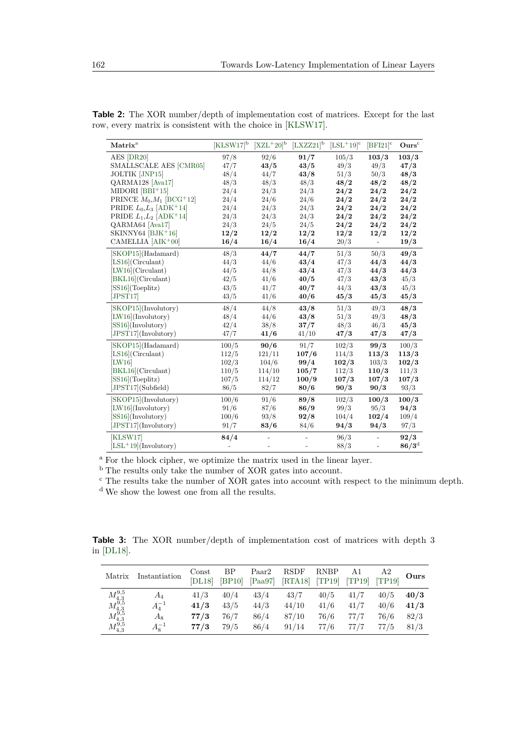| Matrix <sup>a</sup>                     | $[KLSW17]^{b}$ $[XZL+20]^{b}$ |        | $[LXZZ21]^{b}$ | $[LSL+19]$ <sup>c</sup> | $[BFI21]$ <sup>c</sup> | Ours <sup>c</sup> |
|-----------------------------------------|-------------------------------|--------|----------------|-------------------------|------------------------|-------------------|
| AES [DR20]                              | 97/8                          | 92/6   | 91/7           | 105/3                   | 103/3                  | 103/3             |
| SMALLSCALE AES [CMR05]                  | 47/7                          | 43/5   | 43/5           | 49/3                    | 49/3                   | 47/3              |
| <b>JOLTIK [JNP15]</b>                   | 48/4                          | 44/7   | 43/8           | 51/3                    | 50/3                   | 48/3              |
| QARMA128 [Ava17]                        | 48/3                          | 48/3   | 48/3           | 48/2                    | 48/2                   | 48/2              |
| $MIDORI [BBI+15]$                       | 24/4                          | 24/3   | 24/3           | 24/2                    | 24/2                   | 24/2              |
| PRINCE $M_0, M_1$ [BCG <sup>+</sup> 12] | 24/4                          | 24/6   | 24/6           | 24/2                    | 24/2                   | 24/2              |
| PRIDE $L_0, L_3$ [ADK <sup>+</sup> 14]  | 24/4                          | 24/3   | 24/3           | 24/2                    | 24/2                   | 24/2              |
| PRIDE $L_1, L_2$ [ADK <sup>+</sup> 14]  | 24/3                          | 24/3   | 24/3           | 24/2                    | 24/2                   | 24/2              |
| QARMA64 [Ava17]                         | 24/3                          | 24/5   | 24/5           | 24/2                    | 24/2                   | 24/2              |
| SKINNY64 [BJK <sup>+</sup> 16]          | 12/2                          | 12/2   | 12/2           | 12/2                    | 12/2                   | 12/2              |
| CAMELLIA [AIK+00]                       | 16/4                          | 16/4   | 16/4           | 20/3                    | $\overline{a}$         | 19/3              |
| [SKOP15](Hadamard)                      | 48/3                          | 44/7   | 44/7           | 51/3                    | 50/3                   | 49/3              |
| $[LS16]$ (Circulant)                    | 44/3                          | 44/6   | 43/4           | 47/3                    | 44/3                   | 44/3              |
| $[LW16]$ (Circulant)                    | 44/5                          | 44/8   | 43/4           | 47/3                    | 44/3                   | 44/3              |
| [BKL16](Circulant)                      | 42/5                          | 41/6   | 40/5           | 47/3                    | 43/3                   | 45/3              |
| $[SS16]$ (Toeplitz)                     | 43/5                          | 41/7   | 40/7           | 44/3                    | 43/3                   | 45/3              |
| [JPST17]                                | 43/5                          | 41/6   | 40/6           | 45/3                    | 45/3                   | 45/3              |
| [SKOP15](Involutory)                    | 48/4                          | 44/8   | 43/8           | 51/3                    | 49/3                   | 48/3              |
| $[LW16]$ (Involutory)                   | 48/4                          | 44/6   | 43/8           | 51/3                    | 49/3                   | 48/3              |
| $[SS16]$ (Involutory)                   | 42/4                          | 38/8   | 37/7           | 48/3                    | 46/3                   | 45/3              |
| [JPST17](Involutory)                    | 47/7                          | 41/6   | 41/10          | 47/3                    | 47/3                   | 47/3              |
| [SKOP15](Hadamard)                      | 100/5                         | 90/6   | 91/7           | 102/3                   | 99/3                   | 100/3             |
| $[LS16]$ (Circulant)                    | 112/5                         | 121/11 | 107/6          | 114/3                   | 113/3                  | 113/3             |
| [LW16]                                  | 102/3                         | 104/6  | 99/4           | 102/3                   | 103/3                  | 102/3             |
| [BKL16](Circulant)                      | 110/5                         | 114/10 | 105/7          | 112/3                   | 110/3                  | 111/3             |
| $[SS16]$ (Toeplitz)                     | 107/5                         | 114/12 | 100/9          | 107/3                   | 107/3                  | 107/3             |
| [JPST17](Subfield)                      | 86/5                          | 82/7   | 80/6           | 90/3                    | 90/3                   | 93/3              |
| [SKOP15](Involutory)                    | 100/6                         | 91/6   | 89/8           | 102/3                   | 100/3                  | 100/3             |
| [LW16](Involutory)                      | 91/6                          | 87/6   | 86/9           | 99/3                    | 95/3                   | 94/3              |
| [SS16](Involutory)                      | 100/6                         | 93/8   | 92/8           | 104/4                   | 102/4                  | 109/4             |
| [JPST17](Involutory)                    | 91/7                          | 83/6   | 84/6           | 94/3                    | 94/3                   | 97/3              |
| [KLSW17]                                | 84/4                          |        |                | 96/3                    |                        | 92/3              |
| $[LSL+19]$ (Involutory)                 |                               |        |                | 88/3                    |                        | $86/3^{\rm d}$    |

<span id="page-4-0"></span>**Table 2:** The XOR number/depth of implementation cost of matrices. Except for the last row, every matrix is consistent with the choice in [\[KLSW17\]](#page-22-1).

<sup>a</sup> For the block cipher, we optimize the matrix used in the linear layer.

b The results only take the number of XOR gates into account.

<sup>c</sup> The results take the number of XOR gates into account with respect to the minimum depth.

<sup>d</sup> We show the lowest one from all the results.

<span id="page-4-1"></span>**Table 3:** The XOR number/depth of implementation cost of matrices with depth 3 in [\[DL18\]](#page-22-2).

| Matrix                                                                                                 | Instantiation | Const<br>[DL18] | <b>BP</b><br> BP10 | Paar <sub>2</sub><br>[Paa97] | <b>RSDF</b><br>[RTA18] | <b>RNBP</b><br>[TP19] | A1<br>[TP19] | Α2<br>[TP19] | Ours |
|--------------------------------------------------------------------------------------------------------|---------------|-----------------|--------------------|------------------------------|------------------------|-----------------------|--------------|--------------|------|
|                                                                                                        | $A_4$         | 41/3            | 40/4               | 43/4                         | 43/7                   | 40/5                  | 41/7         | 40/5         | 40/3 |
|                                                                                                        | $A_4^{-1}$    | 41/3            | 43/5               | 44/3                         | 44/10                  | 41/6                  | 41/7         | 40/6         | 41/3 |
|                                                                                                        | $A_8$         | 77/3            | 76/7               | 86/4                         | 87/10                  | 76/6                  | 77/7         | 76/6         | 82/3 |
| $\begin{array}{l}M_{4,3}^{9,5}\\M_{4,3}^{9,5}\\M_{4,3}^{9,5}\\M_{4,3}^{9,5}\\M_{4,3}^{9,5}\end{array}$ | $A_8^{-1}$    | 77/3            | 79/5               | 86/4                         | 91/14                  | 77/6                  | 77/7         | 77/5         | 81/3 |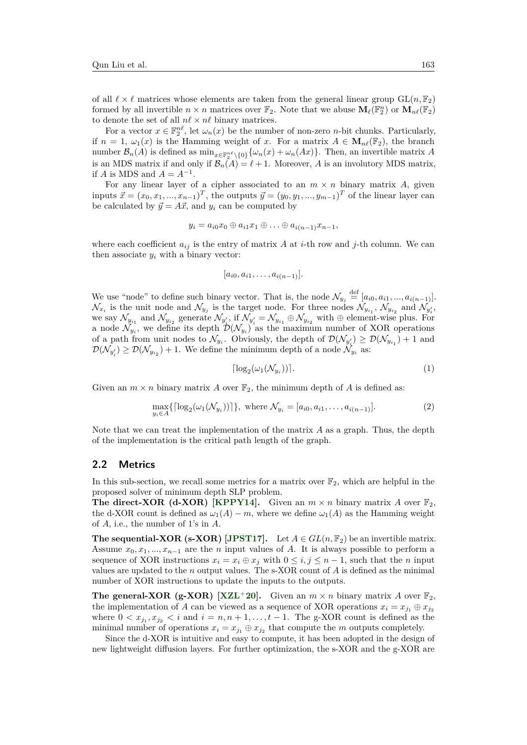of all  $\ell \times \ell$  matrices whose elements are taken from the general linear group  $GL(n, \mathbb{F}_2)$ formed by all invertible  $n \times n$  matrices over  $\mathbb{F}_2$ . Note that we abuse  $\mathbf{M}_{\ell}(\mathbb{F}_2^n)$  or  $\mathbf{M}_{n\ell}(\mathbb{F}_2)$ to denote the set of all  $n\ell \times n\ell$  binary matrices.

For a vector  $x \in \mathbb{F}_2^{n\ell}$ , let  $\omega_n(x)$  be the number of non-zero *n*-bit chunks. Particularly, if  $n = 1$ ,  $\omega_1(x)$  is the Hamming weight of *x*. For a matrix  $A \in M_{n\ell}(\mathbb{F}_2)$ , the branch number  $\mathcal{B}_n(A)$  is defined as  $\min_{x \in \mathbb{F}_2^{n\ell} \setminus \{0\}} \{\omega_n(x) + \omega_n(Ax)\}.$  Then, an invertible matrix *A* is an MDS matrix if and only if  $\mathcal{B}_n(A) = \ell + 1$ . Moreover, *A* is an involutory MDS matrix, if *A* is MDS and  $A = A^{-1}$ .

For any linear layer of a cipher associated to an  $m \times n$  binary matrix A, given inputs  $\vec{x} = (x_0, x_1, ..., x_{n-1})^T$ , the outputs  $\vec{y} = (y_0, y_1, ..., y_{m-1})^T$  of the linear layer can be calculated by  $\vec{y} = A\vec{x}$ , and  $y_i$  can be computed by

$$
y_i = a_{i0}x_0 \oplus a_{i1}x_1 \oplus \ldots \oplus a_{i(n-1)}x_{n-1},
$$

where each coefficient  $a_{ij}$  is the entry of matrix *A* at *i*-th row and *j*-th column. We can then associate  $y_i$  with a binary vector:

$$
[a_{i0}, a_{i1}, \ldots, a_{i(n-1)}].
$$

We use "node" to define such binary vector. That is, the node  $\mathcal{N}_{y_j} \stackrel{\text{def}}{=} [a_{i0}, a_{i1}, ..., a_{i(n-1)}].$  $\mathcal{N}_{x_i}$  is the unit node and  $\mathcal{N}_{y_j}$  is the target node. For three nodes  $\mathcal{N}_{y_{i_1}}$ ,  $\mathcal{N}_{y_{i_2}}$  and  $\mathcal{N}_{y'_i}$ , we say  $\mathcal{N}_{y_{i_1}}$  and  $\mathcal{N}_{y_{i_2}}$  generate  $\mathcal{N}_{y'_i}$ , if  $\mathcal{N}_{y'_i} = \mathcal{N}_{y_{i_1}} \oplus \mathcal{N}_{y_{i_2}}$  with  $\oplus$  element-wise plus. For a node  $\mathcal{N}_{y_i}$ , we define its depth  $\mathcal{D}(\mathcal{N}_{y_i})$  as the maximum number of XOR operations of a path from unit nodes to  $\mathcal{N}_{y_i}$ . Obviously, the depth of  $\mathcal{D}(\mathcal{N}_{y'_i}) \geq \mathcal{D}(\mathcal{N}_{y_{i_1}}) + 1$  and  $\mathcal{D}(\mathcal{N}_{y'_i}) \ge \mathcal{D}(\mathcal{N}_{y_{i_2}}) + 1$ . We define the minimum depth of a node  $\mathcal{N}_{y_i}$  as:

$$
\lceil \log_2(\omega_1(\mathcal{N}_{y_i})) \rceil. \tag{1}
$$

Given an  $m \times n$  binary matrix A over  $\mathbb{F}_2$ , the minimum depth of A is defined as:

$$
\max_{y_i \in A} \{ \lceil \log_2(\omega_1(\mathcal{N}_{y_i})) \rceil \}, \text{ where } \mathcal{N}_{y_i} = [a_{i0}, a_{i1}, \dots, a_{i(n-1)}]. \tag{2}
$$

Note that we can treat the implementation of the matrix *A* as a graph. Thus, the depth of the implementation is the critical path length of the graph.

### **2.2 Metrics**

In this sub-section, we recall some metrics for a matrix over  $\mathbb{F}_2$ , which are helpful in the proposed solver of minimum depth SLP problem.

**The direct-XOR (d-XOR) [\[KPPY14\]](#page-22-11).** Given an  $m \times n$  binary matrix A over  $\mathbb{F}_2$ , the d-XOR count is defined as  $\omega_1(A) - m$ , where we define  $\omega_1(A)$  as the Hamming weight of *A*, i.e., the number of 1's in *A*.

**The sequential-XOR (s-XOR) [\[JPST17\]](#page-22-10).** Let  $A \in GL(n, \mathbb{F}_2)$  be an invertible matrix. Assume  $x_0, x_1, ..., x_{n-1}$  are the *n* input values of *A*. It is always possible to perform a sequence of XOR instructions  $x_i = x_i \oplus x_j$  with  $0 \le i, j \le n-1$ , such that the *n* input values are updated to the *n* output values. The s-XOR count of *A* is defined as the minimal number of XOR instructions to update the inputs to the outputs.

**The general-XOR (g-XOR) [\[XZL](#page-23-1)<sup>+</sup>20].** Given an  $m \times n$  binary matrix A over  $\mathbb{F}_2$ , the implementation of *A* can be viewed as a sequence of XOR operations  $x_i = x_{j_1} \oplus x_{j_2}$ where  $0 < x_{j_1}, x_{j_2} < i$  and  $i = n, n + 1, \ldots, t - 1$ . The g-XOR count is defined as the minimal number of operations  $x_i = x_{j_1} \oplus x_{j_2}$  that compute the *m* outputs completely.

Since the d-XOR is intuitive and easy to compute, it has been adopted in the design of new lightweight diffusion layers. For further optimization, the s-XOR and the g-XOR are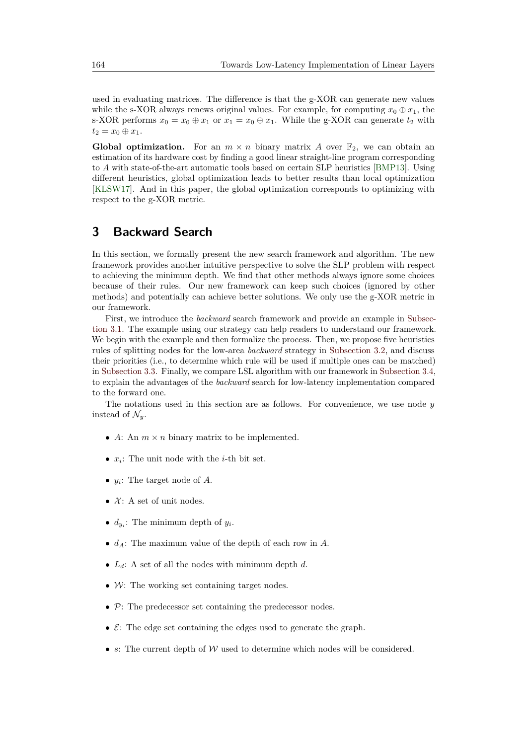used in evaluating matrices. The difference is that the g-XOR can generate new values while the s-XOR always renews original values. For example, for computing  $x_0 \oplus x_1$ , the s-XOR performs  $x_0 = x_0 \oplus x_1$  or  $x_1 = x_0 \oplus x_1$ . While the g-XOR can generate  $t_2$  with  $t_2 = x_0 \oplus x_1.$ 

**Global optimization.** For an  $m \times n$  binary matrix A over  $\mathbb{F}_2$ , we can obtain an estimation of its hardware cost by finding a good linear straight-line program corresponding to *A* with state-of-the-art automatic tools based on certain SLP heuristics [\[BMP13\]](#page-21-1). Using different heuristics, global optimization leads to better results than local optimization [\[KLSW17\]](#page-22-1). And in this paper, the global optimization corresponds to optimizing with respect to the g-XOR metric.

# <span id="page-6-0"></span>**3 Backward Search**

In this section, we formally present the new search framework and algorithm. The new framework provides another intuitive perspective to solve the SLP problem with respect to achieving the minimum depth. We find that other methods always ignore some choices because of their rules. Our new framework can keep such choices (ignored by other methods) and potentially can achieve better solutions. We only use the g-XOR metric in our framework.

First, we introduce the *backward* search framework and provide an example in [Subsec](#page-7-0)[tion 3.1.](#page-7-0) The example using our strategy can help readers to understand our framework. We begin with the example and then formalize the process. Then, we propose five heuristics rules of splitting nodes for the low-area *backward* strategy in [Subsection 3.2,](#page-11-0) and discuss their priorities (i.e., to determine which rule will be used if multiple ones can be matched) in [Subsection 3.3.](#page-12-0) Finally, we compare LSL algorithm with our framework in [Subsection 3.4,](#page-13-0) to explain the advantages of the *backward* search for low-latency implementation compared to the forward one.

The notations used in this section are as follows. For convenience, we use node *y* instead of  $\mathcal{N}_y$ .

- *A*: An  $m \times n$  binary matrix to be implemented.
- *x<sup>i</sup>* : The unit node with the *i*-th bit set.
- *y<sup>i</sup>* : The target node of *A*.
- $X: A set of unit nodes.$
- $d_{y_i}$ : The minimum depth of  $y_i$ .
- *dA*: The maximum value of the depth of each row in *A*.
- *Ld*: A set of all the nodes with minimum depth *d*.
- $W:$  The working set containing target nodes.
- P: The predecessor set containing the predecessor nodes.
- $\mathcal{E}$ : The edge set containing the edges used to generate the graph.
- *s*: The current depth of W used to determine which nodes will be considered.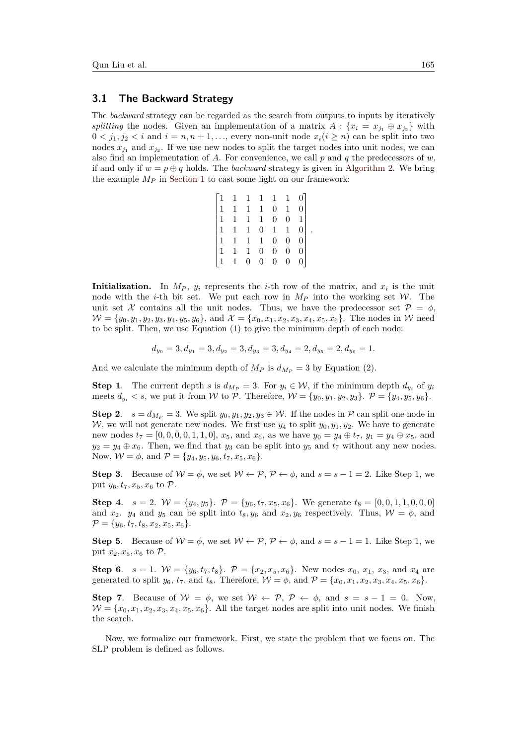#### <span id="page-7-0"></span>**3.1 The Backward Strategy**

The *backward* strategy can be regarded as the search from outputs to inputs by iteratively *splitting* the nodes. Given an implementation of a matrix  $A: \{x_i = x_{j1} \oplus x_{j2}\}$  with  $0 < j_1, j_2 < i$  and  $i = n, n + 1, \ldots$ , every non-unit node  $x_i (i \geq n)$  can be split into two nodes  $x_{j_1}$  and  $x_{j_2}$ . If we use new nodes to split the target nodes into unit nodes, we can also find an implementation of *A*. For convenience, we call *p* and *q* the predecessors of *w*, if and only if  $w = p \oplus q$  holds. The *backward* strategy is given in [Algorithm 2.](#page-10-0) We bring the example *M<sup>P</sup>* in [Section 1](#page-0-0) to cast some light on our framework:

|                                   |             |                | $1 \quad 1 \quad 1 \quad 1 \quad 1$         |                  |                |                |
|-----------------------------------|-------------|----------------|---------------------------------------------|------------------|----------------|----------------|
| $\begin{bmatrix} 1 \end{bmatrix}$ | $\,$ 1 $\,$ | $\,$ $\,$ $\,$ | $\,$ 1 $\,$                                 | $\boldsymbol{0}$ | $\mathbf{1}$   |                |
| $\left  \right $                  |             |                | $1\quad 1\quad 1$                           | $\boldsymbol{0}$ |                | $0\quad1$      |
| $\left\vert 1\right\rangle$       | $\,$ 1 $\,$ |                | $\begin{matrix} 1 & 0 & 1 & 1 \end{matrix}$ |                  |                | 0              |
| $\left  \right $                  |             |                | $1\quad 1\quad 1$                           | $\overline{0}$   | $\overline{0}$ |                |
| $\left\vert 1\right\rangle$       | $\,1\,$     | $\mathbf{1}$   | $\overline{0}$                              | $\overline{0}$   | $\overline{0}$ |                |
| $\left\vert 1\right\rangle$       | $1\,$       | $\overline{0}$ | $0\,$                                       | $\overline{0}$   | $\overline{0}$ | 0 <sup>1</sup> |

*.*

**Initialization.** In  $M_P$ ,  $y_i$  represents the *i*-th row of the matrix, and  $x_i$  is the unit node with the *i*-th bit set. We put each row in  $M_P$  into the working set  $W$ . The unit set X contains all the unit nodes. Thus, we have the predecessor set  $\mathcal{P} = \phi$ ,  $W = \{y_0, y_1, y_2, y_3, y_4, y_5, y_6\}$ , and  $\mathcal{X} = \{x_0, x_1, x_2, x_3, x_4, x_5, x_6\}$ . The nodes in W need to be split. Then, we use Equation (1) to give the minimum depth of each node:

$$
d_{y_0} = 3, d_{y_1} = 3, d_{y_2} = 3, d_{y_3} = 3, d_{y_4} = 2, d_{y_5} = 2, d_{y_6} = 1.
$$

And we calculate the minimum depth of  $M_P$  is  $d_{M_P} = 3$  by Equation (2).

**Step 1.** The current depth *s* is  $d_{M_P} = 3$ . For  $y_i \in W$ , if the minimum depth  $d_{y_i}$  of  $y_i$ meets  $d_{y_i} < s$ , we put it from W to P. Therefore,  $W = \{y_0, y_1, y_2, y_3\}$ .  $P = \{y_4, y_5, y_6\}$ .

**Step 2.**  $s = d_{Mp} = 3$ . We split  $y_0, y_1, y_2, y_3 \in W$ . If the nodes in P can split one node in W, we will not generate new nodes. We first use  $y_4$  to split  $y_0, y_1, y_2$ . We have to generate new nodes  $t_7 = [0, 0, 0, 0, 1, 1, 0], x_5$ , and  $x_6$ , as we have  $y_0 = y_4 \oplus t_7, y_1 = y_4 \oplus x_5$ , and  $y_2 = y_4 \oplus x_6$ . Then, we find that  $y_3$  can be split into  $y_5$  and  $t_7$  without any new nodes. Now,  $W = \phi$ , and  $P = \{y_4, y_5, y_6, t_7, x_5, x_6\}.$ 

**Step 3**. Because of  $W = \phi$ , we set  $W \leftarrow \mathcal{P}, \mathcal{P} \leftarrow \phi$ , and  $s = s - 1 = 2$ . Like Step 1, we put  $y_6, t_7, x_5, x_6$  to  $\mathcal{P}$ .

**Step 4.**  $s = 2$ .  $W = \{y_4, y_5\}$ .  $P = \{y_6, t_7, x_5, x_6\}$ . We generate  $t_8 = [0, 0, 1, 1, 0, 0, 0]$ and  $x_2$ ,  $y_4$  and  $y_5$  can be split into  $t_8, y_6$  and  $x_2, y_6$  respectively. Thus,  $\mathcal{W} = \phi$ , and  $\mathcal{P} = \{y_6, t_7, t_8, x_2, x_5, x_6\}.$ 

**Step 5.** Because of  $W = \phi$ , we set  $W \leftarrow \mathcal{P}, \mathcal{P} \leftarrow \phi$ , and  $s = s - 1 = 1$ . Like Step 1, we put  $x_2, x_5, x_6$  to  $\mathcal{P}$ .

**Step 6**.  $s = 1$ .  $W = \{y_6, t_7, t_8\}$ .  $P = \{x_2, x_5, x_6\}$ . New nodes  $x_0, x_1, x_3$ , and  $x_4$  are generated to split  $y_6$ ,  $t_7$ , and  $t_8$ . Therefore,  $\mathcal{W} = \phi$ , and  $\mathcal{P} = \{x_0, x_1, x_2, x_3, x_4, x_5, x_6\}.$ 

**Step 7.** Because of  $W = \phi$ , we set  $W \leftarrow \mathcal{P}, \mathcal{P} \leftarrow \phi$ , and  $s = s - 1 = 0$ . Now,  $W = \{x_0, x_1, x_2, x_3, x_4, x_5, x_6\}.$  All the target nodes are split into unit nodes. We finish the search.

Now, we formalize our framework. First, we state the problem that we focus on. The SLP problem is defined as follows.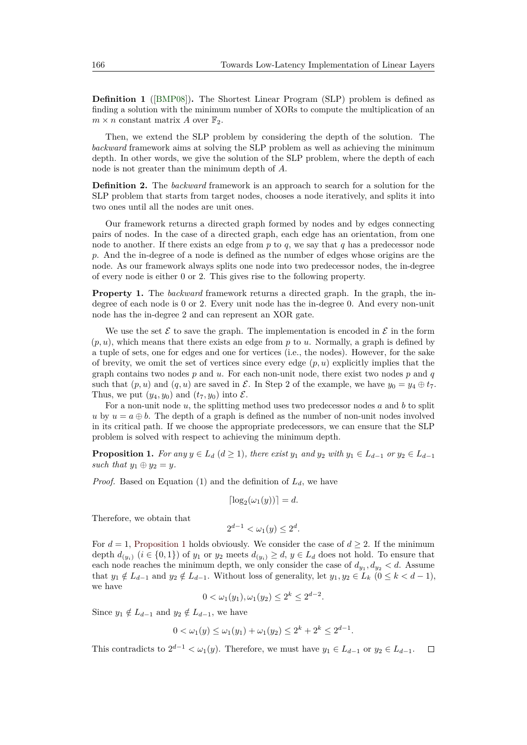**Definition 1** ([\[BMP08\]](#page-21-6))**.** The Shortest Linear Program (SLP) problem is defined as finding a solution with the minimum number of XORs to compute the multiplication of an  $m \times n$  constant matrix *A* over  $\mathbb{F}_2$ .

Then, we extend the SLP problem by considering the depth of the solution. The *backward* framework aims at solving the SLP problem as well as achieving the minimum depth. In other words, we give the solution of the SLP problem, where the depth of each node is not greater than the minimum depth of *A*.

**Definition 2.** The *backward* framework is an approach to search for a solution for the SLP problem that starts from target nodes, chooses a node iteratively, and splits it into two ones until all the nodes are unit ones.

Our framework returns a directed graph formed by nodes and by edges connecting pairs of nodes. In the case of a directed graph, each edge has an orientation, from one node to another. If there exists an edge from *p* to *q*, we say that *q* has a predecessor node *p*. And the in-degree of a node is defined as the number of edges whose origins are the node. As our framework always splits one node into two predecessor nodes, the in-degree of every node is either 0 or 2. This gives rise to the following property.

**Property 1.** The *backward* framework returns a directed graph. In the graph, the indegree of each node is 0 or 2. Every unit node has the in-degree 0. And every non-unit node has the in-degree 2 and can represent an XOR gate.

We use the set  $\mathcal E$  to save the graph. The implementation is encoded in  $\mathcal E$  in the form  $(p, u)$ , which means that there exists an edge from  $p$  to  $u$ . Normally, a graph is defined by a tuple of sets, one for edges and one for vertices (i.e., the nodes). However, for the sake of brevity, we omit the set of vertices since every edge  $(p, u)$  explicitly implies that the graph contains two nodes *p* and *u*. For each non-unit node, there exist two nodes *p* and *q* such that  $(p, u)$  and  $(q, u)$  are saved in  $\mathcal{E}$ . In Step 2 of the example, we have  $y_0 = y_4 \oplus t_7$ . Thus, we put  $(y_4, y_0)$  and  $(t_7, y_0)$  into  $\mathcal{E}$ .

For a non-unit node *u*, the splitting method uses two predecessor nodes *a* and *b* to split *u* by  $u = a \oplus b$ . The depth of a graph is defined as the number of non-unit nodes involved in its critical path. If we choose the appropriate predecessors, we can ensure that the SLP problem is solved with respect to achieving the minimum depth.

<span id="page-8-0"></span>**Proposition 1.** *For any*  $y \in L_d$  ( $d \ge 1$ ), *there exist*  $y_1$  *and*  $y_2$  *with*  $y_1 \in L_{d-1}$  *or*  $y_2 \in L_{d-1}$ *such that*  $y_1 \oplus y_2 = y$ *.* 

*Proof.* Based on Equation (1) and the definition of  $L_d$ , we have

$$
\lceil \log_2(\omega_1(y)) \rceil = d.
$$

Therefore, we obtain that

$$
2^{d-1} < \omega_1(y) \le 2^d.
$$

For  $d = 1$ , [Proposition 1](#page-8-0) holds obviously. We consider the case of  $d \geq 2$ . If the minimum depth  $d_{(y_i)}$  ( $i \in \{0,1\}$ ) of  $y_1$  or  $y_2$  meets  $d_{(y_i)} \geq d$ ,  $y \in L_d$  does not hold. To ensure that each node reaches the minimum depth, we only consider the case of  $d_{y_1}, d_{y_2} < d$ . Assume that  $y_1 \notin L_{d-1}$  and  $y_2 \notin L_{d-1}$ . Without loss of generality, let  $y_1, y_2 \in L_k$  ( $0 \le k < d-1$ ), we have

$$
0 < \omega_1(y_1), \omega_1(y_2) \le 2^k \le 2^{d-2}.
$$

Since  $y_1 \notin L_{d-1}$  and  $y_2 \notin L_{d-1}$ , we have

$$
0 < \omega_1(y) \le \omega_1(y_1) + \omega_1(y_2) \le 2^k + 2^k \le 2^{d-1}.
$$

This contradicts to  $2^{d-1} < \omega_1(y)$ . Therefore, we must have  $y_1 \in L_{d-1}$  or  $y_2 \in L_{d-1}$ .  $\Box$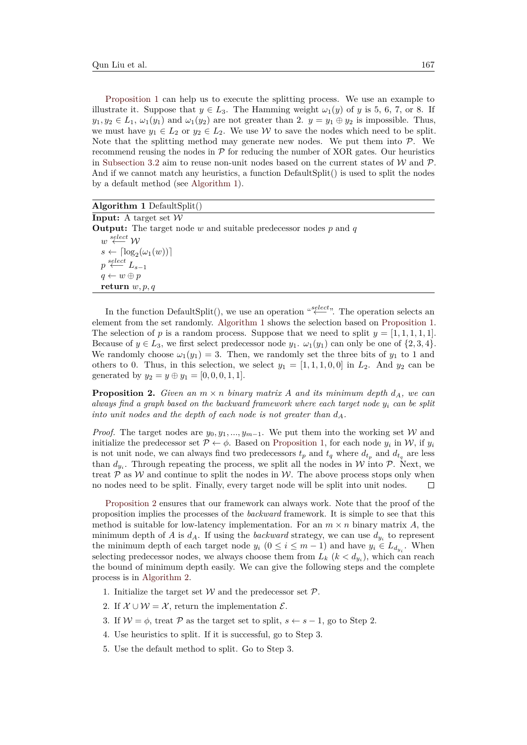[Proposition 1](#page-8-0) can help us to execute the splitting process. We use an example to illustrate it. Suppose that  $y \in L_3$ . The Hamming weight  $\omega_1(y)$  of *y* is 5, 6, 7, or 8. If  $y_1, y_2 \in L_1$ ,  $\omega_1(y_1)$  and  $\omega_1(y_2)$  are not greater than 2.  $y = y_1 \oplus y_2$  is impossible. Thus, we must have  $y_1 \in L_2$  or  $y_2 \in L_2$ . We use W to save the nodes which need to be split. Note that the splitting method may generate new nodes. We put them into  $\mathcal{P}$ . We recommend reusing the nodes in  $\mathcal P$  for reducing the number of XOR gates. Our heuristics in [Subsection 3.2](#page-11-0) aim to reuse non-unit nodes based on the current states of  $W$  and  $\mathcal{P}$ . And if we cannot match any heuristics, a function DefaultSplit() is used to split the nodes by a default method (see [Algorithm 1\)](#page-9-0).

<span id="page-9-0"></span>**Algorithm 1** DefaultSplit()

| <b>Input:</b> A target set $W$                                          |
|-------------------------------------------------------------------------|
| <b>Output:</b> The target node w and suitable predecessor nodes p and q |
| $w \stackrel{select}{\longleftarrow} W$                                 |
| $s \leftarrow \lceil \log_2(\omega_1(w)) \rceil$                        |
| $p \stackrel{select}{\longleftarrow} L_{s-1}$                           |
| $q \leftarrow w \oplus p$                                               |
| return $w, p, q$                                                        |

In the function DefaultSplit(), we use an operation "<sup>select</sup>". The operation selects an element from the set randomly. [Algorithm 1](#page-9-0) shows the selection based on [Proposition 1.](#page-8-0) The selection of *p* is a random process. Suppose that we need to split  $y = [1, 1, 1, 1, 1]$ . Because of  $y \in L_3$ , we first select predecessor node  $y_1$ .  $\omega_1(y_1)$  can only be one of  $\{2, 3, 4\}$ . We randomly choose  $\omega_1(y_1) = 3$ . Then, we randomly set the three bits of  $y_1$  to 1 and others to 0. Thus, in this selection, we select  $y_1 = [1, 1, 1, 0, 0]$  in  $L_2$ . And  $y_2$  can be generated by  $y_2 = y \oplus y_1 = [0, 0, 0, 1, 1].$ 

<span id="page-9-1"></span>**Proposition 2.** *Given an*  $m \times n$  *binary matrix A and its minimum depth*  $d_A$ *, we can always find a graph based on the backward framework where each target node y<sup>i</sup> can be split into unit nodes and the depth of each node is not greater than*  $d_A$ .

*Proof.* The target nodes are  $y_0, y_1, ..., y_{m-1}$ . We put them into the working set W and initialize the predecessor set  $\mathcal{P} \leftarrow \phi$ . Based on [Proposition 1,](#page-8-0) for each node  $y_i$  in W, if  $y_i$ is not unit node, we can always find two predecessors  $t_p$  and  $t_q$  where  $d_{t_p}$  and  $d_{t_q}$  are less than  $d_{y_i}$ . Through repeating the process, we split all the nodes in W into  $P$ . Next, we treat  $\mathcal P$  as W and continue to split the nodes in W. The above process stops only when no nodes need to be split. Finally, every target node will be split into unit nodes.  $\Box$ 

[Proposition 2](#page-9-1) ensures that our framework can always work. Note that the proof of the proposition implies the processes of the *backward* framework. It is simple to see that this method is suitable for low-latency implementation. For an  $m \times n$  binary matrix A, the minimum depth of *A* is  $d_A$ . If using the *backward* strategy, we can use  $d_{y_i}$  to represent the minimum depth of each target node  $y_i$  ( $0 \le i \le m-1$ ) and have  $y_i \in L_{d_{y_i}}$ . When selecting predecessor nodes, we always choose them from  $L_k$  ( $k < d_{y_i}$ ), which can reach the bound of minimum depth easily. We can give the following steps and the complete process is in [Algorithm 2.](#page-10-0)

- 1. Initialize the target set  $W$  and the predecessor set  $P$ .
- 2. If  $\mathcal{X} \cup \mathcal{W} = \mathcal{X}$ , return the implementation  $\mathcal{E}$ .
- 3. If  $W = \phi$ , treat P as the target set to split,  $s \leftarrow s 1$ , go to Step 2.
- 4. Use heuristics to split. If it is successful, go to Step 3.
- 5. Use the default method to split. Go to Step 3.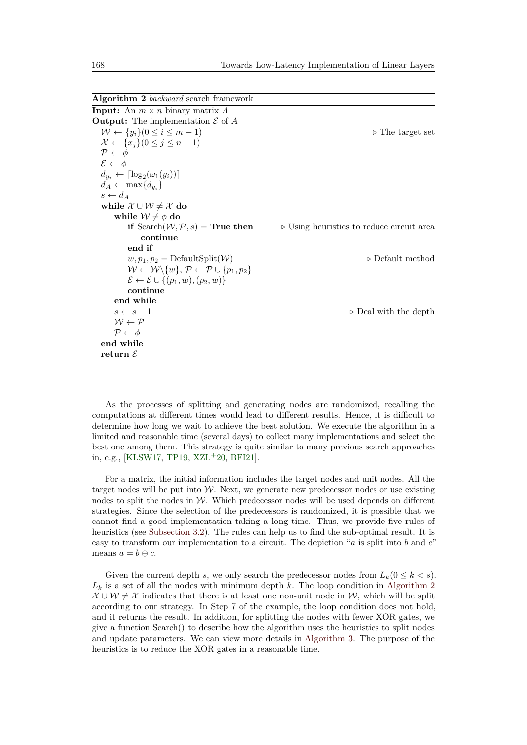<span id="page-10-0"></span>**Algorithm 2** *backward* search framework

| <b>Input:</b> An $m \times n$ binary matrix A                                          |                                                          |
|----------------------------------------------------------------------------------------|----------------------------------------------------------|
| <b>Output:</b> The implementation $\mathcal E$ of $A$                                  |                                                          |
| $W \leftarrow \{y_i\}(0 \leq i \leq m-1)$                                              | $\triangleright$ The target set                          |
| $\mathcal{X} \leftarrow \{x_j\}(0 \leq j \leq n-1)$                                    |                                                          |
| $\mathcal{P} \leftarrow \phi$                                                          |                                                          |
| $\mathcal{E} \leftarrow \phi$                                                          |                                                          |
| $d_{y_i} \leftarrow \lceil \log_2(\omega_1(y_i)) \rceil$                               |                                                          |
| $d_A \leftarrow \max\{d_{u_i}\}\$                                                      |                                                          |
| $s \leftarrow d_A$                                                                     |                                                          |
| while $\mathcal{X} \cup \mathcal{W} \neq \mathcal{X}$ do                               |                                                          |
| while $\mathcal{W} \neq \phi$ do                                                       |                                                          |
| if Search $(W, P, s)$ = True then                                                      | $\triangleright$ Using heuristics to reduce circuit area |
| continue                                                                               |                                                          |
| end if                                                                                 |                                                          |
| $w, p_1, p_2 = \text{DefaultSplit}(\mathcal{W})$                                       | $\triangleright$ Default method                          |
| $W \leftarrow W \setminus \{w\}, \mathcal{P} \leftarrow \mathcal{P} \cup \{p_1, p_2\}$ |                                                          |
| $\mathcal{E} \leftarrow \mathcal{E} \cup \{(p_1,w),(p_2,w)\}\$                         |                                                          |
| continue                                                                               |                                                          |
| end while                                                                              |                                                          |
| $s \leftarrow s - 1$                                                                   | $\triangleright$ Deal with the depth                     |
| $W \leftarrow \mathcal{P}$                                                             |                                                          |
| $\mathcal{P} \leftarrow \phi$                                                          |                                                          |
| end while                                                                              |                                                          |
| return $\mathcal E$                                                                    |                                                          |

As the processes of splitting and generating nodes are randomized, recalling the computations at different times would lead to different results. Hence, it is difficult to determine how long we wait to achieve the best solution. We execute the algorithm in a limited and reasonable time (several days) to collect many implementations and select the best one among them. This strategy is quite similar to many previous search approaches in, e.g., [\[KLSW17,](#page-22-1) [TP19,](#page-23-0) [XZL](#page-23-1)<sup>+</sup>20, [BFI21\]](#page-20-3).

For a matrix, the initial information includes the target nodes and unit nodes. All the target nodes will be put into  $W$ . Next, we generate new predecessor nodes or use existing nodes to split the nodes in  $W$ . Which predecessor nodes will be used depends on different strategies. Since the selection of the predecessors is randomized, it is possible that we cannot find a good implementation taking a long time. Thus, we provide five rules of heuristics (see [Subsection 3.2\)](#page-11-0). The rules can help us to find the sub-optimal result. It is easy to transform our implementation to a circuit. The depiction "*a* is split into *b* and *c*" means  $a = b \oplus c$ .

Given the current depth *s*, we only search the predecessor nodes from  $L_k(0 \leq k < s)$ .  $L_k$  is a set of all the nodes with minimum depth  $k$ . The loop condition in [Algorithm 2](#page-10-0)  $\mathcal{X} \cup \mathcal{W} \neq \mathcal{X}$  indicates that there is at least one non-unit node in W, which will be split according to our strategy. In Step 7 of the example, the loop condition does not hold, and it returns the result. In addition, for splitting the nodes with fewer XOR gates, we give a function Search() to describe how the algorithm uses the heuristics to split nodes and update parameters. We can view more details in [Algorithm 3.](#page-11-1) The purpose of the heuristics is to reduce the XOR gates in a reasonable time.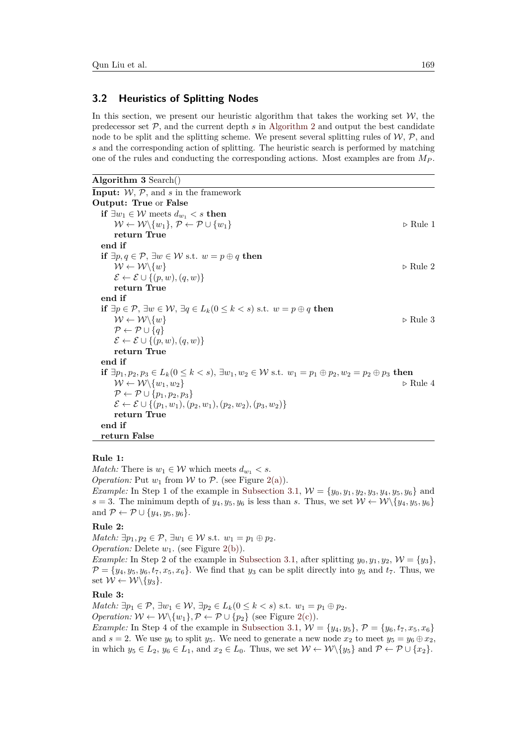### <span id="page-11-0"></span>**3.2 Heuristics of Splitting Nodes**

In this section, we present our heuristic algorithm that takes the working set  $W$ , the predecessor set  $P$ , and the current depth  $s$  in [Algorithm 2](#page-10-0) and output the best candidate node to be splitt and the splitting scheme. We present several splitting rules of  $W, P$ , and *s* and the corresponding action of splitting. The heuristic search is performed by matching one of the rules and conducting the corresponding actions. Most examples are from *M<sup>P</sup>* .

```
Algorithm 3 Search()
```

```
Input: W, P, and s in the framework
Output: True or False
  if ∃w_1 ∈ W meets d_{w_1} < s then
      W \leftarrow W\backslash \{w_1\}, \mathcal{P} \leftarrow \mathcal{P} \cup \{w_1\} \triangleright Rule 1
      return True
  end if
  if ∃p, q \in \mathcal{P}, ∃w \in \mathcal{W} s.t. w = p \oplus q then
      W \leftarrow W\backslash \{w\} . Rule 2
      \mathcal{E} \leftarrow \mathcal{E} \cup \{(p, w), (q, w)\}\return True
  end if
  if ∃p ∈ P, ∃w ∈ W, ∃q ∈ Lk(0 ≤ k < s) s.t. w = p ⊕ q then
      W \leftarrow W\backslash \{w\} . Rule 3
      P \leftarrow P \cup \{q\}\mathcal{E} \leftarrow \mathcal{E} \cup \{(p, w), (q, w)\}\return True
  end if
  if ∃p_1, p_2, p_3 \in L_k(0 \le k < s), ∃w_1, w_2 \in \mathcal{W} s.t. w_1 = p_1 \oplus p_2, w_2 = p_2 \oplus p_3 then
      W \leftarrow W\{w_1, w_2\} \triangleright Rule 4
      \mathcal{P} \leftarrow \mathcal{P} \cup \{p_1, p_2, p_3\}\mathcal{E} \leftarrow \mathcal{E} \cup \{(p_1, w_1), (p_2, w_1), (p_2, w_2), (p_3, w_2)\}\return True
  end if
  return False
```
#### **Rule 1:**

*Match:* There is  $w_1 \in \mathcal{W}$  which meets  $d_{w_1} < s$ . *Operation:* Put  $w_1$  from W to P. (see Figure [2\(a\)\)](#page-12-1). *Example:* In Step 1 of the example in [Subsection 3.1,](#page-7-0)  $W = \{y_0, y_1, y_2, y_3, y_4, y_5, y_6\}$  and *s* = 3. The minimum depth of  $y_4, y_5, y_6$  is less than *s*. Thus, we set  $W \leftarrow W \setminus \{y_4, y_5, y_6\}$ and  $\mathcal{P} \leftarrow \mathcal{P} \cup \{y_4, y_5, y_6\}.$ 

## **Rule 2:**

*Match:*  $\exists p_1, p_2 \in \mathcal{P}, \exists w_1 \in \mathcal{W} \text{ s.t. } w_1 = p_1 \oplus p_2.$ *Operation:* Delete  $w_1$ . (see Figure [2\(b\)\)](#page-12-2).

*Example:* In Step 2 of the example in [Subsection 3.1,](#page-7-0) after splitting  $y_0, y_1, y_2, \mathcal{W} = \{y_3\}$ ,  $\mathcal{P} = \{y_4, y_5, y_6, t_7, x_5, x_6\}.$  We find that  $y_3$  can be split directly into  $y_5$  and  $t_7$ . Thus, we set  $W \leftarrow W \setminus \{y_3\}.$ 

### **Rule 3:**

*Match:* ∃ $p_1$  ∈  $P$ , ∃ $w_1$  ∈  $W$ , ∃ $p_2$  ∈  $L_k$ (0 ≤  $k$  < *s*) s.t.  $w_1 = p_1 ⊕ p_2$ . *Operation:*  $W \leftarrow W \setminus \{w_1\}, \mathcal{P} \leftarrow \mathcal{P} \cup \{p_2\}$  (see Figure [2\(c\)\)](#page-12-3).

*Example:* In Step 4 of the example in [Subsection 3.1,](#page-7-0)  $W = \{y_4, y_5\}, P = \{y_6, t_7, x_5, x_6\}$ and  $s = 2$ . We use  $y_6$  to split  $y_5$ . We need to generate a new node  $x_2$  to meet  $y_5 = y_6 \oplus x_2$ , in which  $y_5 \in L_2$ ,  $y_6 \in L_1$ , and  $x_2 \in L_0$ . Thus, we set  $W \leftarrow W \setminus \{y_5\}$  and  $P \leftarrow P \cup \{x_2\}$ .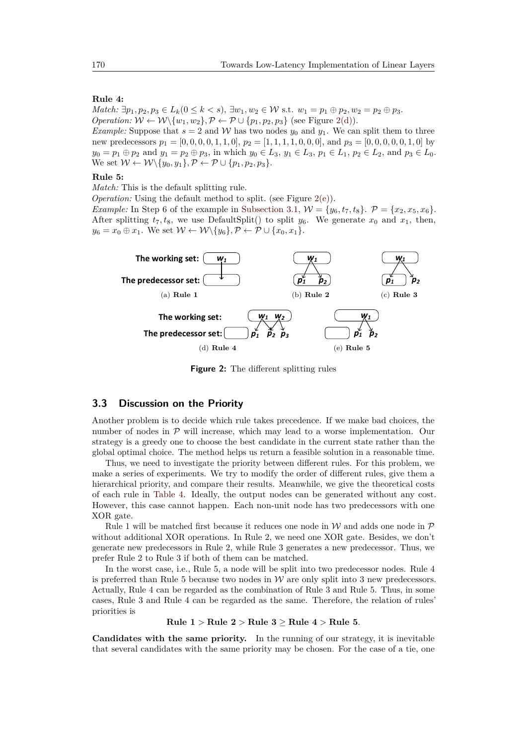#### **Rule 4:**

*Match:* ∃ $p_1, p_2, p_3 \in L_k(0 \le k < s)$ , ∃ $w_1, w_2 \in W$  s.t.  $w_1 = p_1 ⊕ p_2, w_2 = p_2 ⊕ p_3$ . *Operation:*  $W \leftarrow W \setminus \{w_1, w_2\}, \mathcal{P} \leftarrow \mathcal{P} \cup \{p_1, p_2, p_3\}$  (see Figure [2\(d\)\)](#page-12-4).

*Example:* Suppose that  $s = 2$  and W has two nodes  $y_0$  and  $y_1$ . We can split them to three new predecessors  $p_1 = [0, 0, 0, 0, 1, 1, 0], p_2 = [1, 1, 1, 1, 0, 0, 0],$  and  $p_3 = [0, 0, 0, 0, 0, 1, 0]$  by  $y_0 = p_1 \oplus p_2$  and  $y_1 = p_2 \oplus p_3$ , in which  $y_0 \in L_3$ ,  $y_1 \in L_3$ ,  $p_1 \in L_1$ ,  $p_2 \in L_2$ , and  $p_3 \in L_0$ . We set  $W \leftarrow W \setminus \{y_0, y_1\}, \mathcal{P} \leftarrow \mathcal{P} \cup \{p_1, p_2, p_3\}.$ 

#### **Rule 5:**

*Match:* This is the default splitting rule.

*Operation:* Using the default method to split. (see Figure [2\(e\)\)](#page-12-5).

*Example:* In Step 6 of the example in [Subsection 3.1,](#page-7-0)  $W = \{y_6, t_7, t_8\}$ .  $\mathcal{P} = \{x_2, x_5, x_6\}$ . After splitting  $t_7, t_8$ , we use DefaultSplit() to split  $y_6$ . We generate  $x_0$  and  $x_1$ , then,  $y_6 = x_0 \oplus x_1$ . We set  $W \leftarrow W \setminus \{y_6\}, \mathcal{P} \leftarrow \mathcal{P} \cup \{x_0, x_1\}.$ 

<span id="page-12-4"></span><span id="page-12-1"></span>

<span id="page-12-5"></span><span id="page-12-3"></span><span id="page-12-2"></span>**Figure 2:** The different splitting rules

# <span id="page-12-0"></span>**3.3 Discussion on the Priority**

Another problem is to decide which rule takes precedence. If we make bad choices, the number of nodes in  $P$  will increase, which may lead to a worse implementation. Our strategy is a greedy one to choose the best candidate in the current state rather than the global optimal choice. The method helps us return a feasible solution in a reasonable time.

Thus, we need to investigate the priority between different rules. For this problem, we make a series of experiments. We try to modify the order of different rules, give them a hierarchical priority, and compare their results. Meanwhile, we give the theoretical costs of each rule in [Table 4.](#page-13-1) Ideally, the output nodes can be generated without any cost. However, this case cannot happen. Each non-unit node has two predecessors with one XOR gate.

Rule 1 will be matched first because it reduces one node in  $\mathcal W$  and adds one node in  $\mathcal P$ without additional XOR operations. In Rule 2, we need one XOR gate. Besides, we don't generate new predecessors in Rule 2, while Rule 3 generates a new predecessor. Thus, we prefer Rule 2 to Rule 3 if both of them can be matched.

In the worst case, i.e., Rule 5, a node will be split into two predecessor nodes. Rule 4 is preferred than Rule 5 because two nodes in  $W$  are only split into 3 new predecessors. Actually, Rule 4 can be regarded as the combination of Rule 3 and Rule 5. Thus, in some cases, Rule 3 and Rule 4 can be regarded as the same. Therefore, the relation of rules' priorities is

#### **Rule 1** *>* **Rule 2** *>* **Rule 3** ≥ **Rule 4** *>* **Rule 5***.*

**Candidates with the same priority.** In the running of our strategy, it is inevitable that several candidates with the same priority may be chosen. For the case of a tie, one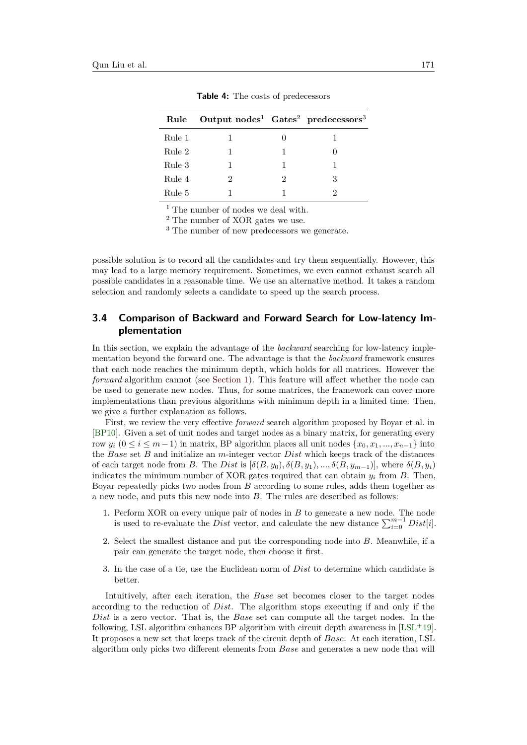<span id="page-13-1"></span>

|        | Rule Output $nodes^1$ Gates <sup>2</sup> predecessors <sup>3</sup> |   |   |
|--------|--------------------------------------------------------------------|---|---|
| Rule 1 |                                                                    |   |   |
| Rule 2 |                                                                    |   |   |
| Rule 3 |                                                                    | 1 |   |
| Rule 4 | 2                                                                  | 2 | 3 |
| Rule 5 |                                                                    |   |   |

**Table 4:** The costs of predecessors

 $^{\rm 1}$  The number of nodes we deal with.

<sup>2</sup> The number of XOR gates we use.

<sup>3</sup> The number of new predecessors we generate.

possible solution is to record all the candidates and try them sequentially. However, this may lead to a large memory requirement. Sometimes, we even cannot exhaust search all possible candidates in a reasonable time. We use an alternative method. It takes a random selection and randomly selects a candidate to speed up the search process.

# <span id="page-13-0"></span>**3.4 Comparison of Backward and Forward Search for Low-latency Implementation**

In this section, we explain the advantage of the *backward* searching for low-latency implementation beyond the forward one. The advantage is that the *backward* framework ensures that each node reaches the minimum depth, which holds for all matrices. However the *forward* algorithm cannot (see [Section 1\)](#page-0-0). This feature will affect whether the node can be used to generate new nodes. Thus, for some matrices, the framework can cover more implementations than previous algorithms with minimum depth in a limited time. Then, we give a further explanation as follows.

First, we review the very effective *forward* search algorithm proposed by Boyar et al. in [\[BP10\]](#page-21-0). Given a set of unit nodes and target nodes as a binary matrix, for generating every row  $y_i$  ( $0 \le i \le m-1$ ) in matrix, BP algorithm places all unit nodes  $\{x_0, x_1, ..., x_{n-1}\}$  into the *Base* set *B* and initialize an *m*-integer vector *Dist* which keeps track of the distances of each target node from *B*. The *Dist* is  $[\delta(B, y_0), \delta(B, y_1), ..., \delta(B, y_{m-1})]$ , where  $\delta(B, y_i)$ indicates the minimum number of XOR gates required that can obtain  $y_i$  from *B*. Then, Boyar repeatedly picks two nodes from *B* according to some rules, adds them together as a new node, and puts this new node into *B*. The rules are described as follows:

- 1. Perform XOR on every unique pair of nodes in *B* to generate a new node. The node is used to re-evaluate the *Dist* vector, and calculate the new distance  $\sum_{i=0}^{m-1} Dist[i]$ .
- 2. Select the smallest distance and put the corresponding node into *B*. Meanwhile, if a pair can generate the target node, then choose it first.
- 3. In the case of a tie, use the Euclidean norm of *Dist* to determine which candidate is better.

Intuitively, after each iteration, the *Base* set becomes closer to the target nodes according to the reduction of *Dist*. The algorithm stops executing if and only if the *Dist* is a zero vector. That is, the *Base* set can compute all the target nodes. In the following, LSL algorithm enhances BP algorithm with circuit depth awareness in  $[LSL+19]$  $[LSL+19]$ . It proposes a new set that keeps track of the circuit depth of *Base*. At each iteration, LSL algorithm only picks two different elements from *Base* and generates a new node that will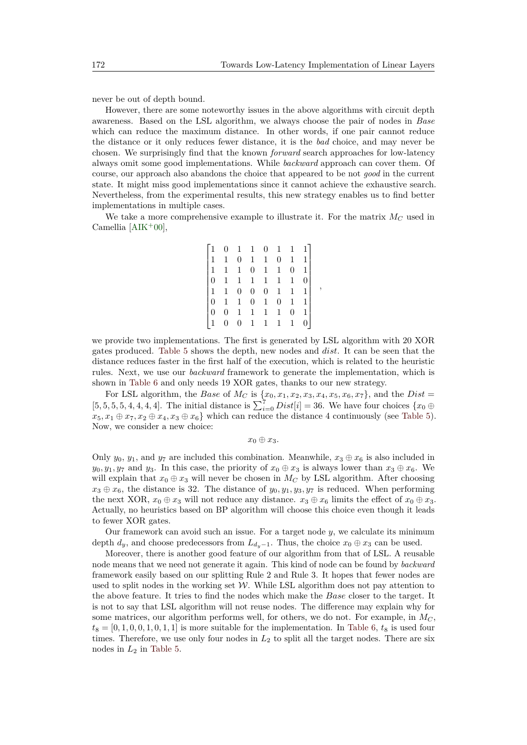*,*

never be out of depth bound.

However, there are some noteworthy issues in the above algorithms with circuit depth awareness. Based on the LSL algorithm, we always choose the pair of nodes in *Base* which can reduce the maximum distance. In other words, if one pair cannot reduce the distance or it only reduces fewer distance, it is the *bad* choice, and may never be chosen. We surprisingly find that the known *forward* search approaches for low-latency always omit some good implementations. While *backward* approach can cover them. Of course, our approach also abandons the choice that appeared to be not *good* in the current state. It might miss good implementations since it cannot achieve the exhaustive search. Nevertheless, from the experimental results, this new strategy enables us to find better implementations in multiple cases.

We take a more comprehensive example to illustrate it. For the matrix  $M_C$  used in Camellia  $[AIK<sup>+</sup>00],$  $[AIK<sup>+</sup>00],$ 

|                 | $\overline{0}$                               | $\mathbf{1}$   | $\mathbf{1}$   | $\overline{0}$ | $\mathbf{1}$   |                | $1 \quad 1$ ] |
|-----------------|----------------------------------------------|----------------|----------------|----------------|----------------|----------------|---------------|
| $\overline{1}$  | $\,$ 1 $\,$                                  | $\overline{0}$ | $\,1\,$        | $\mathbf{1}$   | 0              | $\mathbf{1}$   |               |
|                 | $1\quad 1$                                   | $\mathbf{1}$   | $\overline{0}$ | $\mathbf{1}$   | 1              | $\overline{0}$ |               |
| $\overline{10}$ | $\mathbf{1}$                                 | $\mathbf{1}$   | $\mathbf{1}$   | $1\,$          | 1              | $\mathbf{1}$   |               |
|                 |                                              | $\overline{0}$ | $\overline{0}$ | $\overline{0}$ | 1              | $\mathbf{1}$   |               |
|                 |                                              |                |                |                |                |                |               |
|                 | $\begin{matrix} 1 & 1 \\ 0 & 1 \end{matrix}$ | $\mathbf{1}$   | $\overline{0}$ | $\mathbf{1}$   | $\overline{0}$ | $\mathbf{1}$   |               |
| $\overline{0}$  | $\overline{0}$                               | $\mathbf{1}$   | $1\,$          | $\mathbf{1}$   | 1              | $\overline{0}$ |               |

we provide two implementations. The first is generated by LSL algorithm with 20 XOR gates produced. [Table 5](#page-15-0) shows the depth, new nodes and *dist*. It can be seen that the distance reduces faster in the first half of the execution, which is related to the heuristic rules. Next, we use our *backward* framework to generate the implementation, which is shown in [Table 6](#page-15-1) and only needs 19 XOR gates, thanks to our new strategy.

For LSL algorithm, the *Base* of  $M_C$  is  $\{x_0, x_1, x_2, x_3, x_4, x_5, x_6, x_7\}$ , and the *Dist* =  $[5, 5, 5, 4, 4, 4, 4]$ . The initial distance is  $\sum_{i=0}^{7} Dist[i] = 36$ . We have four choices  $\{x_0 \oplus$  $x_5, x_1 \oplus x_7, x_2 \oplus x_4, x_3 \oplus x_6$  which can reduce the distance 4 continuously (see [Table 5\)](#page-15-0). Now, we consider a new choice:

*x*<sup>0</sup> ⊕ *x*3*.*

Only  $y_0, y_1$ , and  $y_7$  are included this combination. Meanwhile,  $x_3 \oplus x_6$  is also included in *y*<sub>0</sub>*, y*<sub>1</sub>*, y*<sub>7</sub> and *y*<sub>3</sub>. In this case, the priority of  $x_0 \oplus x_3$  is always lower than  $x_3 \oplus x_6$ . We will explain that  $x_0 \oplus x_3$  will never be chosen in  $M_C$  by LSL algorithm. After choosing  $x_3 \oplus x_6$ , the distance is 32. The distance of  $y_0, y_1, y_3, y_7$  is reduced. When performing the next XOR,  $x_0 \oplus x_3$  will not reduce any distance.  $x_3 \oplus x_6$  limits the effect of  $x_0 \oplus x_3$ . Actually, no heuristics based on BP algorithm will choose this choice even though it leads to fewer XOR gates.

Our framework can avoid such an issue. For a target node *y*, we calculate its minimum depth  $d_y$ , and choose predecessors from  $L_{d_y-1}$ . Thus, the choice  $x_0 \oplus x_3$  can be used.

Moreover, there is another good feature of our algorithm from that of LSL. A reusable node means that we need not generate it again. This kind of node can be found by *backward* framework easily based on our splitting Rule 2 and Rule 3. It hopes that fewer nodes are used to split nodes in the working set  $W$ . While LSL algorithm does not pay attention to the above feature. It tries to find the nodes which make the *Base* closer to the target. It is not to say that LSL algorithm will not reuse nodes. The difference may explain why for some matrices, our algorithm performs well, for others, we do not. For example, in *M<sup>C</sup>* ,  $t_8 = [0, 1, 0, 0, 1, 0, 1, 1]$  is more suitable for the implementation. In [Table 6,](#page-15-1)  $t_8$  is used four times. Therefore, we use only four nodes in *L*<sup>2</sup> to split all the target nodes. There are six nodes in  $L_2$  in [Table 5.](#page-15-0)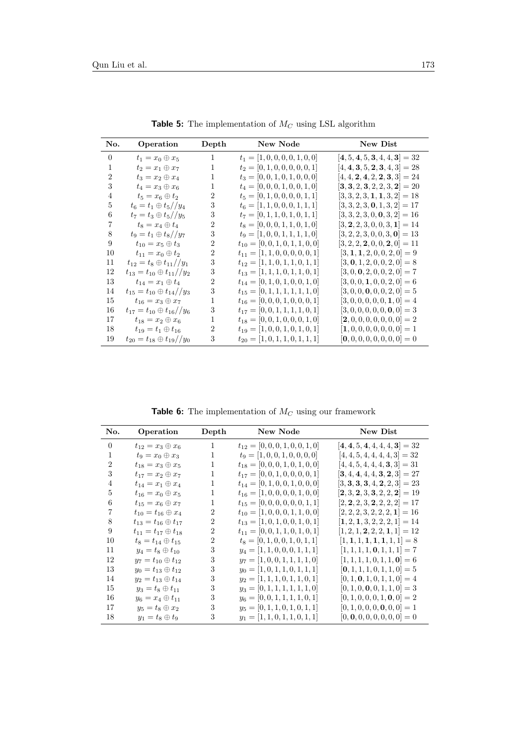<span id="page-15-0"></span>

| No.            | Operation                              | Depth | New Node                            | New Dist                                                            |
|----------------|----------------------------------------|-------|-------------------------------------|---------------------------------------------------------------------|
| $\Omega$       | $t_1=x_0\oplus x_5$                    | 1     | $t_1 = [1, 0, 0, 0, 0, 1, 0, 0]$    | $[4, 5, 4, 5, 3, 4, 4, 3] = 32$                                     |
| 1              | $t_2 = x_1 \oplus x_7$                 | 1     | $t_2 = [0, 1, 0, 0, 0, 0, 0, 1]$    | $[4, 4, 3, 5, 2, 3, 4, 3] = 28$                                     |
| $\overline{2}$ | $t_3=x_2\oplus x_4$                    | 1     | $t_3 = [0, 0, 1, 0, 1, 0, 0, 0]$    | $[4, 4, 2, 4, 2, 2, 3, 3] = 24$                                     |
| 3              | $t_4=x_3\oplus x_6$                    | 1     | $t_4 = [0, 0, 0, 1, 0, 0, 1, 0]$    | $[\mathbf{3}, \mathbf{3}, 2, \mathbf{3}, 2, 2, 3, \mathbf{2}] = 20$ |
| 4              | $t_5=x_6\oplus t_2$                    | 2     | $t_5 = [0, 1, 0, 0, 0, 0, 1, 1]$    | $[3, 3, 2, 3, 1, 1, 3, 2] = 18$                                     |
| 5              | $t_6 = t_1 \oplus t_5 // y_4$          | 3     | $t_6 = [1, 1, 0, 0, 0, 1, 1, 1]$    | $[3, 3, 2, 3, 0, 1, 3, 2] = 17$                                     |
| 6              | $t_7 = t_3 \oplus t_5 // y_5$          | 3     | $t_7 = [0, 1, 1, 0, 1, 0, 1, 1]$    | $[3, 3, 2, 3, 0, 0, 3, 2] = 16$                                     |
| 7              | $t_8=x_4\oplus t_4$                    | 2     | $t_8 = [0, 0, 0, 1, 1, 0, 1, 0]$    | $[3, 2, 2, 3, 0, 0, 3, 1] = 14$                                     |
| 8              | $t_9 = t_1 \oplus t_8 // y_7$          | 3     | $t_9 = [1, 0, 0, 1, 1, 1, 1, 0]$    | $[3, 2, 2, 3, 0, 0, 3, 0] = 13$                                     |
| 9              | $t_{10} = x_5 \oplus t_3$              | 2     | $t_{10} = [0, 0, 1, 0, 1, 1, 0, 0]$ | $[3, 2, 2, 2, 0, 0, 2, 0] = 11$                                     |
| 10             | $t_{11} = x_0 \oplus t_2$              | 2     | $t_{11} = [1, 1, 0, 0, 0, 0, 0, 1]$ | $[3, 1, 1, 2, 0, 0, 2, 0] = 9$                                      |
| 11             | $t_{12} = t_8 \oplus t_{11}/y_1$       | 3     | $t_{12} = [1, 1, 0, 1, 1, 0, 1, 1]$ | $[3, 0, 1, 2, 0, 0, 2, 0] = 8$                                      |
| 12             | $t_{13} = t_{10} \oplus t_{11}/y_2$    | 3     | $t_{13} = [1, 1, 1, 0, 1, 1, 0, 1]$ | $[3, 0, 0, 2, 0, 0, 2, 0] = 7$                                      |
| 13             | $t_{14} = x_1 \oplus t_4$              | 2     | $t_{14} = [0, 1, 0, 1, 0, 0, 1, 0]$ | $[3, 0, 0, 1, 0, 0, 2, 0] = 6$                                      |
| 14             | $t_{15} = t_{10} \oplus t_{14} // y_3$ | 3     | $t_{15} = [0, 1, 1, 1, 1, 1, 1, 0]$ | $[3, 0, 0, 0, 0, 0, 2, 0] = 5$                                      |
| 15             | $t_{16} = x_3 \oplus x_7$              | 1     | $t_{16} = [0, 0, 0, 1, 0, 0, 0, 1]$ | $[3, 0, 0, 0, 0, 0, 1, 0] = 4$                                      |
| 16             | $t_{17} = t_{10} \oplus t_{16} // y_6$ | 3     | $t_{17} = [0, 0, 1, 1, 1, 1, 0, 1]$ | $[3, 0, 0, 0, 0, 0, 0, 0] = 3$                                      |
| 17             | $t_{18} = x_2 \oplus x_6$              | 1     | $t_{18} = [0, 0, 1, 0, 0, 0, 1, 0]$ | $[2, 0, 0, 0, 0, 0, 0, 0] = 2$                                      |
| 18             | $t_{19} = t_1 \oplus t_{16}$           | 2     | $t_{19} = [1, 0, 0, 1, 0, 1, 0, 1]$ | $[1, 0, 0, 0, 0, 0, 0, 0] = 1$                                      |
| 19             | $t_{20} = t_{18} \oplus t_{19} // y_0$ | 3     | $t_{20} = [1, 0, 1, 1, 0, 1, 1, 1]$ | $[0, 0, 0, 0, 0, 0, 0, 0] = 0$                                      |

 ${\bf Table}$  5: The implementation of  $M_C$  using LSL algorithm

**Table 6:** The implementation of *M<sup>C</sup>* using our framework

<span id="page-15-1"></span>

| No.            | Operation                       | Depth          | New Node                            | New Dist                        |
|----------------|---------------------------------|----------------|-------------------------------------|---------------------------------|
| $\Omega$       | $t_{12} = x_3 \oplus x_6$       | 1              | $t_{12} = [0, 0, 0, 1, 0, 0, 1, 0]$ | $[4, 4, 5, 4, 4, 4, 4, 3] = 32$ |
| 1              | $t_9=x_0\oplus x_3$             | 1              | $t_9 = [1, 0, 0, 1, 0, 0, 0, 0]$    | $[4, 4, 5, 4, 4, 4, 4, 3] = 32$ |
| $\overline{2}$ | $t_{18} = x_3 \oplus x_5$       | 1              | $t_{18} = [0, 0, 0, 1, 0, 1, 0, 0]$ | $[4, 4, 5, 4, 4, 4, 3, 3] = 31$ |
| 3              | $t_{17}=x_2\oplus x_7$          | 1              | $t_{17} = [0, 0, 1, 0, 0, 0, 0, 1]$ | $[3, 4, 4, 4, 4, 3, 2, 3] = 27$ |
| $\overline{4}$ | $t_{14}=x_1\oplus x_4$          | 1              | $t_{14} = [0, 1, 0, 0, 1, 0, 0, 0]$ | $[3, 3, 3, 3, 4, 2, 2, 3] = 23$ |
| 5              | $t_{16} = x_0 \oplus x_5$       | 1              | $t_{16} = [1, 0, 0, 0, 0, 1, 0, 0]$ | $[2, 3, 2, 3, 3, 2, 2, 2] = 19$ |
| 6              | $t_{15} = x_6 \oplus x_7$       | 1              | $t_{15} = [0, 0, 0, 0, 0, 0, 1, 1]$ | $[2, 2, 2, 3, 2, 2, 2, 2] = 17$ |
| 7              | $t_{10} = t_{16} \oplus x_4$    | $\overline{2}$ | $t_{10} = [1, 0, 0, 0, 1, 1, 0, 0]$ | $[2, 2, 2, 3, 2, 2, 2, 1] = 16$ |
| 8              | $t_{13} = t_{16} \oplus t_{17}$ | 2              | $t_{13} = [1, 0, 1, 0, 0, 1, 0, 1]$ | $[1, 2, 1, 3, 2, 2, 2, 1] = 14$ |
| 9              | $t_{11} = t_{17} \oplus t_{18}$ | $\overline{2}$ | $t_{11} = [0, 0, 1, 1, 0, 1, 0, 1]$ | $[1, 2, 1, 2, 2, 2, 1, 1] = 12$ |
| 10             | $t_8 = t_{14} \oplus t_{15}$    | $\overline{2}$ | $t_8 = [0, 1, 0, 0, 1, 0, 1, 1]$    | $[1, 1, 1, 1, 1, 1, 1, 1] = 8$  |
| 11             | $y_4 = t_8 \oplus t_{10}$       | 3              | $y_4 = [1, 1, 0, 0, 0, 1, 1, 1]$    | $[1, 1, 1, 1, 0, 1, 1, 1] = 7$  |
| 12             | $y_7 = t_{10} \oplus t_{12}$    | 3              | $y_7 = [1, 0, 0, 1, 1, 1, 1, 0]$    | $[1, 1, 1, 1, 0, 1, 1, 0] = 6$  |
| 13             | $y_0 = t_{13} \oplus t_{12}$    | 3              | $y_0 = [1, 0, 1, 1, 0, 1, 1, 1]$    | $[0, 1, 1, 1, 0, 1, 1, 0] = 5$  |
| 14             | $y_2 = t_{13} \oplus t_{14}$    | 3              | $y_2 = [1, 1, 1, 0, 1, 1, 0, 1]$    | $[0, 1, 0, 1, 0, 1, 1, 0] = 4$  |
| 15             | $y_3 = t_8 \oplus t_{11}$       | 3              | $y_3 = [0, 1, 1, 1, 1, 1, 1, 0]$    | $[0, 1, 0, 0, 0, 1, 1, 0] = 3$  |
| 16             | $y_6 = x_4 \oplus t_{11}$       | 3              | $y_6 = [0, 0, 1, 1, 1, 1, 0, 1]$    | $[0, 1, 0, 0, 0, 1, 0, 0] = 2$  |
| 17             | $y_5 = t_8 \oplus x_2$          | 3              | $y_5 = [0, 1, 1, 0, 1, 0, 1, 1]$    | $[0, 1, 0, 0, 0, 0, 0, 0] = 1$  |
| 18             | $y_1 = t_8 \oplus t_9$          | 3              | $y_1 = [1, 1, 0, 1, 1, 0, 1, 1]$    | $[0, 0, 0, 0, 0, 0, 0, 0] = 0$  |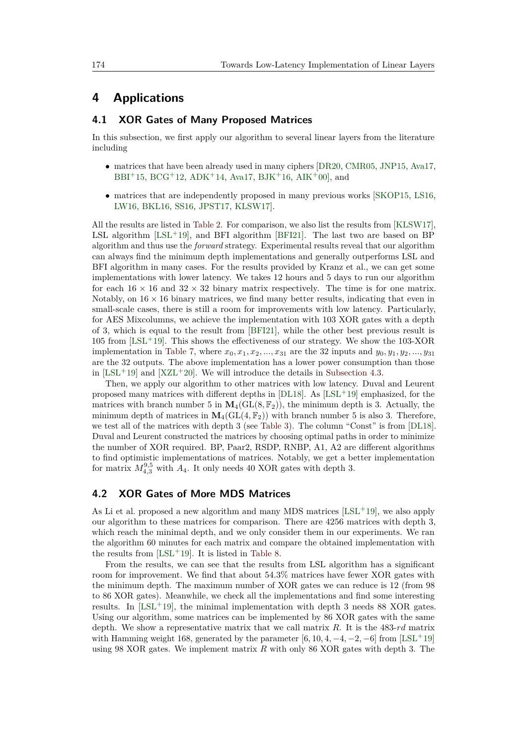# <span id="page-16-0"></span>**4 Applications**

### **4.1 XOR Gates of Many Proposed Matrices**

In this subsection, we first apply our algorithm to several linear layers from the literature including

- matrices that have been already used in many ciphers [\[DR20,](#page-22-4) [CMR05,](#page-21-7) [JNP15,](#page-22-7) [Ava17,](#page-20-4) [BBI](#page-20-1)+15, [BCG](#page-20-5)+12, [ADK](#page-20-6)+14, [Ava17,](#page-20-4) [BJK](#page-21-4)+16, [AIK](#page-20-7)+00, and
- matrices that are independently proposed in many previous works [\[SKOP15,](#page-23-8) [LS16,](#page-22-8) [LW16,](#page-22-9) [BKL16,](#page-21-8) [SS16,](#page-23-9) [JPST17,](#page-22-10) [KLSW17\]](#page-22-1).

All the results are listed in [Table 2.](#page-4-0) For comparison, we also list the results from [\[KLSW17\]](#page-22-1), LSL algorithm  $[LSL+19]$  $[LSL+19]$ , and BFI algorithm  $[BFI21]$ . The last two are based on BP algorithm and thus use the *forward* strategy. Experimental results reveal that our algorithm can always find the minimum depth implementations and generally outperforms LSL and BFI algorithm in many cases. For the results provided by Kranz et al., we can get some implementations with lower latency. We takes 12 hours and 5 days to run our algorithm for each  $16 \times 16$  and  $32 \times 32$  binary matrix respectively. The time is for one matrix. Notably, on  $16 \times 16$  binary matrices, we find many better results, indicating that even in small-scale cases, there is still a room for improvements with low latency. Particularly, for AES Mixcolumns, we achieve the implementation with 103 XOR gates with a depth of 3, which is equal to the result from [\[BFI21\]](#page-20-3), while the other best previous result is  $105$  from [\[LSL](#page-22-5)<sup>+</sup>19]. This shows the effectiveness of our strategy. We show the 103-XOR implementation in [Table 7,](#page-17-0) where  $x_0, x_1, x_2, ..., x_{31}$  are the 32 inputs and  $y_0, y_1, y_2, ..., y_{31}$ are the 32 outputs. The above implementation has a lower power consumption than those in  $[LSL+19]$  $[LSL+19]$  and  $[XZL+20]$  $[XZL+20]$ . We will introduce the details in [Subsection 4.3.](#page-18-1)

Then, we apply our algorithm to other matrices with low latency. Duval and Leurent proposed many matrices with different depths in  $[DL18]$ . As  $[LSL+19]$  $[LSL+19]$  emphasized, for the matrices with branch number 5 in  $M_4(GL(8, \mathbb{F}_2))$ , the minimum depth is 3. Actually, the minimum depth of matrices in  $M_4(GL(4, \mathbb{F}_2))$  with branch number 5 is also 3. Therefore, we test all of the matrices with depth 3 (see [Table 3\)](#page-4-1). The column "Const" is from [\[DL18\]](#page-22-2). Duval and Leurent constructed the matrices by choosing optimal paths in order to minimize the number of XOR required. BP, Paar2, RSDP, RNBP, A1, A2 are different algorithms to find optimistic implementations of matrices. Notably, we get a better implementation for matrix  $M_{4,3}^{9,5}$  with  $A_4$ . It only needs 40 XOR gates with depth 3.

### **4.2 XOR Gates of More MDS Matrices**

As Li et al. proposed a new algorithm and many MDS matrices  $[LSL^+19]$  $[LSL^+19]$ , we also apply our algorithm to these matrices for comparison. There are 4256 matrices with depth 3, which reach the minimal depth, and we only consider them in our experiments. We ran the algorithm 60 minutes for each matrix and compare the obtained implementation with the results from  $[LSL+19]$  $[LSL+19]$ . It is listed in [Table 8.](#page-18-0)

From the results, we can see that the results from LSL algorithm has a significant room for improvement. We find that about 54*.*3% matrices have fewer XOR gates with the minimum depth. The maximum number of XOR gates we can reduce is 12 (from 98 to 86 XOR gates). Meanwhile, we check all the implementations and find some interesting results. In  $[LSL+19]$  $[LSL+19]$ , the minimal implementation with depth 3 needs 88 XOR gates. Using our algorithm, some matrices can be implemented by 86 XOR gates with the same depth. We show a representative matrix that we call matrix *R*. It is the 483-*rd* matrix with Hamming weight 168, generated by the parameter  $[6, 10, 4, -4, -2, -6]$  from  $[LSL+19]$  $[LSL+19]$ using 98 XOR gates. We implement matrix *R* with only 86 XOR gates with depth 3. The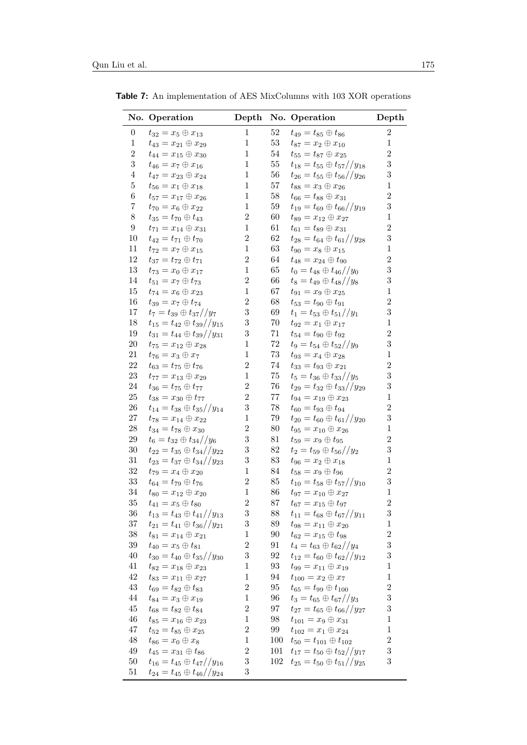|                  | No. Operation                                                          |                                |            | Depth No. Operation                                                              | Depth                   |
|------------------|------------------------------------------------------------------------|--------------------------------|------------|----------------------------------------------------------------------------------|-------------------------|
| $\boldsymbol{0}$ | $t_{32} = x_5 \oplus x_{13}$                                           | 1                              | $52\,$     | $t_{49} = t_{85} \oplus t_{86}$                                                  | $\sqrt{2}$              |
| $\mathbf{1}$     | $t_{43}=x_{21}\oplus x_{29}$                                           | $\mathbf{1}$                   | $53\,$     | $t_{87} = x_2 \oplus x_{10}$                                                     | $\mathbf{1}$            |
| $\,2$            | $t_{44}=x_{15}\oplus x_{30}$                                           | $\mathbf{1}$                   | 54         | $t_{55}=t_{87} \oplus x_{25}$                                                    | $\sqrt{2}$              |
| $\sqrt{3}$       | $t_{46} = x_7 \oplus x_{16}$                                           | $\mathbf{1}$                   | $55\,$     | $t_{18} = t_{55} \oplus t_{57}/y_{18}$                                           | $\boldsymbol{3}$        |
| $\overline{4}$   | $t_{47} = x_{23} \oplus x_{24}$                                        | $\mathbf{1}$                   | 56         | $t_{26} = t_{55} \oplus t_{56} // y_{26}$                                        | $\sqrt{3}$              |
| $\bf 5$          | $t_{56}=x_1\oplus x_{18}$                                              | $\mathbf{1}$                   | $57\,$     | $t_{88}=x_3\oplus x_{26}$                                                        | $\,1$                   |
| $\,6$            | $t_{57} = x_{17} \oplus x_{26}$                                        | $\mathbf{1}$                   | $58\,$     | $t_{66} = t_{88} \oplus x_{31}$                                                  | $\overline{2}$          |
| $\!\!7$          | $t_{70}=x_6\oplus x_{22}$                                              | $\mathbf{1}$                   | 59         | $t_{19} = t_{69} \oplus t_{66} // y_{19}$                                        | $\boldsymbol{3}$        |
| $8\,$            | $t_{35} = t_{70} \oplus t_{43}$                                        | $\,2$                          | 60         | $t_{89} = x_{12} \oplus x_{27}$                                                  | $\mathbf{1}$            |
| $\boldsymbol{9}$ | $t_{71} = x_{14} \oplus x_{31}$                                        | $\mathbf{1}$                   | 61         | $t_{61} = t_{89} \oplus x_{31}$                                                  | $\overline{2}$          |
| 10               | $t_{42} = t_{71} \oplus t_{70}$                                        | $\,2$                          | 62         | $t_{28} = t_{64} \oplus t_{61}/y_{28}$                                           | $\sqrt{3}$              |
| 11               | $t_{72} = x_7 \oplus x_{15}$                                           | $\,1$                          | $63\,$     | $t_{90} = x_8 \oplus x_{15}$                                                     | $\mathbf{1}$            |
| 12               | $t_{37} = t_{72} \oplus t_{71}$                                        | $\,2$                          | 64         | $t_{48} = x_{24} \oplus t_{90}$                                                  | $\overline{2}$          |
| $13\,$           | $t_{73}=x_0\oplus x_{17}$                                              | $\,1$                          | $65\,$     | $t_0 = t_{48} \oplus t_{46} // y_0$                                              | $\sqrt{3}$              |
| 14               | $t_{51}=x_7\oplus t_{73}$                                              | $\,2$                          | 66         | $t_8 = t_{49} \oplus t_{48} // y_8$                                              | $\sqrt{3}$              |
| 15               | $t_{74}=x_6\oplus x_{23}$                                              | $\,1$                          | 67         | $t_{91} = x_9 \oplus x_{25}$                                                     | $\mathbf{1}$            |
| 16               | $t_{39}=x_7\oplus t_{74}$                                              | $\boldsymbol{2}$               | 68         | $t_{53} = t_{90} \oplus t_{91}$                                                  | $\overline{2}$          |
| 17               | $t_7=t_{39}\oplus t_{37}//y_7$                                         | $\sqrt{3}$                     | 69         | $t_1 = t_{53} \oplus t_{51}/y_1$                                                 | $\boldsymbol{3}$        |
| 18               | $t_{15} = t_{42} \oplus t_{39} // y_{15}$                              | $\boldsymbol{3}$               | $70\,$     | $t_{92} = x_1 \oplus x_{17}$                                                     | $\,1$                   |
| 19               | $t_{31} = t_{44} \oplus t_{39}/y_{31}$                                 | 3                              | 71         | $t_{54} = t_{90} \oplus t_{92}$                                                  | $\overline{2}$          |
| $20\,$           | $t_{75} = x_{12} \oplus x_{28}$                                        | $\mathbf{1}$                   | $72\,$     | $t_9 = t_{54} \oplus t_{52} // y_9$                                              | $\boldsymbol{3}$        |
| 21               | $t_{76} = x_3 \oplus x_7$                                              | $\mathbf{1}$                   | $73\,$     | $t_{93} = x_4 \oplus x_{28}$                                                     | $\,1$                   |
| 22               | $t_{63} = t_{75} \oplus t_{76}$                                        | $\overline{2}$                 | 74         | $t_{33} = t_{93} \oplus x_{21}$                                                  | $\overline{2}$          |
| 23               | $t_{77}=x_{13}\oplus x_{29}$                                           | $\,1$                          | 75         | $t_5=t_{36} \oplus t_{33}//y_5$                                                  | 3                       |
| 24               | $t_{36}=t_{75}\oplus t_{77}$                                           | $\boldsymbol{2}$               | 76         | $t_{29} = t_{32} \oplus t_{33} // y_{29}$                                        | $\sqrt{3}$              |
| 25               | $t_{38}=x_{30}\oplus t_{77}$                                           | $\overline{2}$                 | $77\,$     | $t_{94}=x_{19}\oplus x_{23}$                                                     | $\,1$                   |
| 26               | $t_{14} = t_{38} \oplus t_{35}/y_{14}$                                 | $\sqrt{3}$                     | $78\,$     | $t_{60} = t_{93} \oplus t_{94}$                                                  | $\sqrt{2}$              |
| 27               | $t_{78}=x_{14}\oplus x_{22}$                                           | $\,1$                          | $79\,$     | $t_{20}=t_{60}\oplus t_{61}/y_{20}$                                              | 3                       |
| 28               | $t_{34} = t_{78} \oplus x_{30}$                                        | $\overline{2}$                 | $80\,$     | $t_{95}=x_{10}\oplus x_{26}$                                                     | $\,1$                   |
| 29               | $t_6 = t_{32} \oplus t_{34} // y_6$                                    | $\boldsymbol{3}$               | 81         | $t_{59}=x_9\oplus t_{95}$                                                        | $\sqrt{2}$              |
| $30\,$           | $t_{22} = t_{35} \oplus t_{34} // y_{22}$                              | $\boldsymbol{3}$               | 82         | $t_2 = t_{59} \oplus t_{56} // y_2$                                              | 3                       |
| 31               | $t_{23} = t_{37} \oplus t_{34} // y_{23}$                              | $\,3$                          | $83\,$     | $t_{96} = x_2 \oplus x_{18}$                                                     | $\,1$                   |
| 32               | $t_{79} = x_4 \oplus x_{20}$                                           | $\mathbf{1}$                   | 84         | $t_{58}=x_9\oplus t_{96}$                                                        | $\sqrt{2}$              |
| 33               | $t_{64} = t_{79} \oplus t_{76}$                                        | $\overline{2}$                 | $85\,$     | $t_{10} = t_{58} \oplus t_{57}/y_{10}$                                           | $\sqrt{3}$              |
| 34<br>$35\,$     | $t_{80}=x_{12}\oplus x_{20}$                                           | $\,1$<br>$\overline{2}$        | 86         | $t_{97} = x_{10} \oplus x_{27}$                                                  | $\,1$<br>$\overline{2}$ |
| 36               | $t_{41} = x_5 \oplus t_{80}$                                           | $\boldsymbol{3}$               | 87         | $t_{67}=x_{15}\oplus t_{97}$                                                     | $\sqrt{3}$              |
| $37\,$           | $t_{13} = t_{43} \oplus t_{41} // y_{13}$                              | $\,3$                          | 88<br>89   | $t_{11} = t_{68} \oplus t_{67}/y_{11}$                                           | $\mathbf 1$             |
| $38\,$           | $t_{21} = t_{41} \oplus t_{36} // y_{21}$                              |                                | 90         | $t_{98}=x_{11}\oplus x_{20}$                                                     | $\sqrt{2}$              |
| $39\,$           | $t_{81}=x_{14}\oplus x_{21}$                                           | $\mathbf{1}$<br>$\overline{2}$ |            | $t_{62}=x_{15}\oplus t_{98}$                                                     | $\boldsymbol{3}$        |
| 40               | $t_{40} = x_5 \oplus t_{81}$                                           | $\sqrt{3}$                     | 91         | $t_4 = t_{63} \oplus t_{62}/y_4$<br>$t_{12} = t_{60} \oplus t_{62}/y_{12}$       | $\boldsymbol{3}$        |
| 41               | $t_{30} = t_{40} \oplus t_{35}/y_{30}$                                 | $\mathbf{1}$                   | 92<br>93   |                                                                                  | $\mathbf{1}$            |
| $42\,$           | $t_{82}=x_{18}\oplus x_{23}$                                           | $\mathbf 1$                    |            | $t_{99}=x_{11}\oplus x_{19}$                                                     | $\,1$                   |
| $43\,$           | $t_{83}=x_{11}\oplus x_{27}$                                           | $\overline{2}$                 | 94         | $t_{100} = x_2 \oplus x_7$                                                       | $\sqrt{2}$              |
| 44               | $t_{69} = t_{82} \oplus t_{83}$                                        | $\mathbf{1}$                   | 95         | $t_{65} = t_{99} \oplus t_{100}$                                                 | $\boldsymbol{3}$        |
| $45\,$           | $t_{84} = x_3 \oplus x_{19}$                                           | $\,2$                          | 96<br>97   | $t_3 = t_{65} \oplus t_{67}/y_3$<br>$t_{27} = t_{65} \oplus t_{66} // y_{27}$    | $\boldsymbol{3}$        |
| 46               | $t_{68} = t_{82} \oplus t_{84}$                                        | $\mathbf{1}$                   | 98         |                                                                                  | $\mathbf{1}$            |
| 47               | $t_{85}=x_{16}\oplus x_{23}$                                           | $\,2$                          | 99         | $t_{101} = x_9 \oplus x_{31}$                                                    | $\mathbf{1}$            |
| $48\,$           | $t_{52} = t_{85} \oplus x_{25}$                                        | $\mathbf{1}$                   |            | $t_{102}=x_1\oplus x_{24}$                                                       | $\sqrt{2}$              |
| $49\,$           | $t_{86}=x_0\oplus x_8$                                                 | $\,2$                          | 100<br>101 | $t_{50} = t_{101} \oplus t_{102}$                                                | $\sqrt{3}$              |
| $50\,$           | $t_{45}=x_{31}\oplus t_{86}$<br>$t_{16} = t_{45} \oplus t_{47}/y_{16}$ | $\boldsymbol{3}$               | 102        | $t_{17} = t_{50} \oplus t_{52}/y_{17}$<br>$t_{25} = t_{50} \oplus t_{51}/y_{25}$ | $\sqrt{3}$              |
| 51               | $t_{24} = t_{45} \oplus t_{46} // y_{24}$                              | 3                              |            |                                                                                  |                         |
|                  |                                                                        |                                |            |                                                                                  |                         |

<span id="page-17-0"></span>**Table 7:** An implementation of AES MixColumns with 103 XOR operations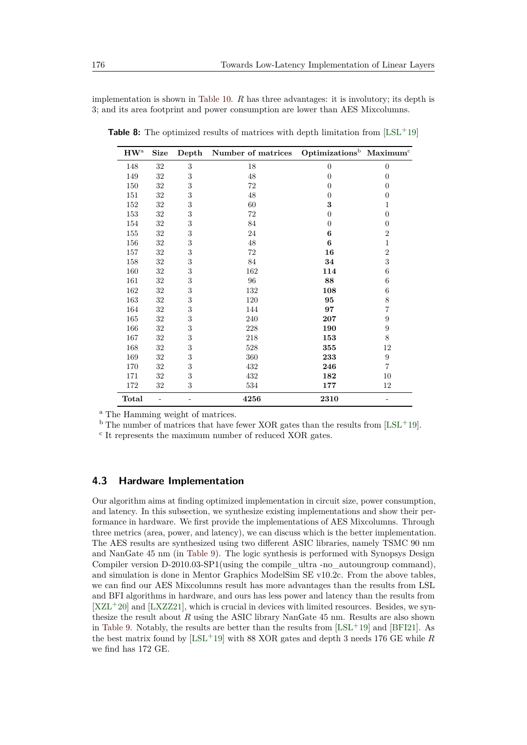implementation is shown in [Table 10.](#page-24-0) *R* has three advantages: it is involutory; its depth is 3; and its area footprint and power consumption are lower than AES Mixcolumns.

| $HW^a$  | <b>Size</b> | Depth | Number of matrices | $\text{Optimizations}^{\text{b}}$ Maximum <sup>c</sup> |                  |
|---------|-------------|-------|--------------------|--------------------------------------------------------|------------------|
| 148     | $32\,$      | 3     | 18                 | $\overline{0}$                                         | $\overline{0}$   |
| 149     | 32          | 3     | 48                 | $\theta$                                               | $\theta$         |
| 150     | 32          | 3     | 72                 | 0                                                      | $\theta$         |
| 151     | 32          | 3     | 48                 | $\theta$                                               | $\overline{0}$   |
| 152     | $32\,$      | 3     | 60                 | 3                                                      | 1                |
| 153     | 32          | 3     | 72                 | $\theta$                                               | $\overline{0}$   |
| 154     | $32\,$      | 3     | 84                 | $\theta$                                               | $\overline{0}$   |
| 155     | 32          | 3     | 24                 | 6                                                      | $\overline{2}$   |
| 156     | 32          | 3     | $48\,$             | 6                                                      | $\mathbf 1$      |
| 157     | 32          | 3     | 72                 | 16                                                     | $\overline{2}$   |
| 158     | $32\,$      | 3     | 84                 | 34                                                     | 3                |
| $160\,$ | $32\,$      | 3     | 162                | 114                                                    | 6                |
| 161     | 32          | 3     | 96                 | 88                                                     | 6                |
| 162     | 32          | 3     | 132                | 108                                                    | $\;6\;$          |
| 163     | $32\,$      | 3     | 120                | 95                                                     | $\,$ $\,$        |
| 164     | $32\,$      | 3     | 144                | 97                                                     | $\overline{7}$   |
| 165     | 32          | 3     | 240                | 207                                                    | $\boldsymbol{9}$ |
| 166     | $32\,$      | 3     | 228                | 190                                                    | $\overline{9}$   |
| 167     | 32          | 3     | 218                | 153                                                    | 8                |
| 168     | 32          | 3     | 528                | 355                                                    | 12               |
| 169     | $32\,$      | 3     | 360                | 233                                                    | $\boldsymbol{9}$ |
| 170     | $32\,$      | 3     | 432                | 246                                                    | $\overline{7}$   |
| 171     | 32          | 3     | 432                | 182                                                    | 10               |
| 172     | 32          | 3     | 534                | 177                                                    | 12               |
| Total   |             |       | 4256               | 2310                                                   |                  |

<span id="page-18-0"></span>**Table 8:** The optimized results of matrices with depth limitation from  $[LSL+19]$  $[LSL+19]$ 

<sup>a</sup> The Hamming weight of matrices.

 $b$  The number of matrices that have fewer XOR gates than the results from [\[LSL](#page-22-5)<sup>+</sup>19].

c It represents the maximum number of reduced XOR gates.

## <span id="page-18-1"></span>**4.3 Hardware Implementation**

Our algorithm aims at finding optimized implementation in circuit size, power consumption, and latency. In this subsection, we synthesize existing implementations and show their performance in hardware. We first provide the implementations of AES Mixcolumns. Through three metrics (area, power, and latency), we can discuss which is the better implementation. The AES results are synthesized using two different ASIC libraries, namely TSMC 90 nm and NanGate 45 nm (in [Table 9\)](#page-19-1). The logic synthesis is performed with Synopsys Design Compiler version D-2010.03-SP1(using the compile  $\theta$  ultra -no autoungroup command), and simulation is done in Mentor Graphics ModelSim SE v10.2c. From the above tables, we can find our AES Mixcolumns result has more advantages than the results from LSL and BFI algorithms in hardware, and ours has less power and latency than the results from  $[XZL+20]$  $[XZL+20]$  and  $[LXZZ21]$ , which is crucial in devices with limited resources. Besides, we synthesize the result about *R* using the ASIC library NanGate 45 nm. Results are also shown in [Table 9.](#page-19-1) Notably, the results are better than the results from  $[LSL+19]$  $[LSL+19]$  and  $[BFI21]$ . As the best matrix found by [\[LSL](#page-22-5)<sup>+</sup>19] with 88 XOR gates and depth 3 needs 176 GE while *R* we find has 172 GE.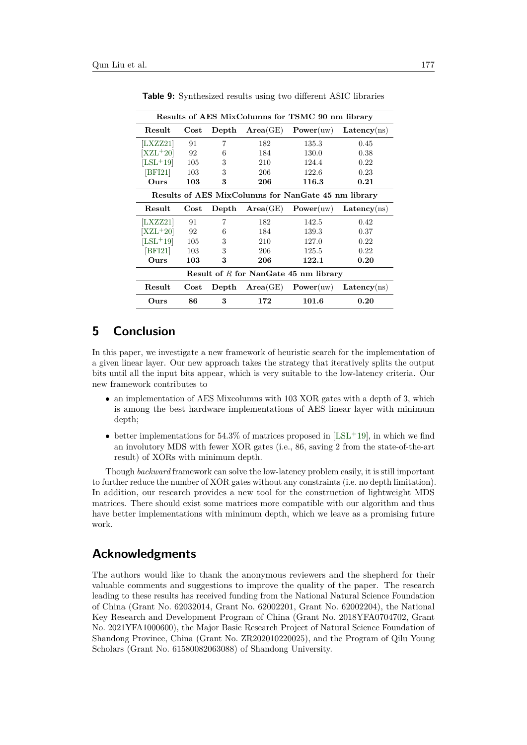<span id="page-19-1"></span>

| Results of AES MixColumns for TSMC 90 nm library    |            |                |                         |           |             |  |  |
|-----------------------------------------------------|------------|----------------|-------------------------|-----------|-------------|--|--|
| Result                                              | $\rm Cost$ | $\bold{Depth}$ | Area(GE)                | Power(uw) | Latency(ns) |  |  |
| LXZZ21                                              | 91         | 7              | 182                     | 135.3     | 0.45        |  |  |
| $[XZL+20]$                                          | - 92       | 6              | 184                     | 130.0     | 0.38        |  |  |
| $[LSL+19]$                                          | 105        | 3              | 210                     | 124.4     | 0.22        |  |  |
| [BFI21]                                             | 103        | 3              | 206                     | 122.6     | 0.23        |  |  |
| Ours                                                | 103        | 3              | 206                     | 116.3     | 0.21        |  |  |
| Results of AES MixColumns for NanGate 45 nm library |            |                |                         |           |             |  |  |
| Result                                              | $\rm Cost$ |                | $Depth \text{Area}(GE)$ | Power(uw) | Latency(ns) |  |  |
| LXZZ21                                              | 91         | 7              | 182                     | 142.5     | 0.42        |  |  |
| $[XZL+20]$                                          | 92         | 6              | 184                     | 139.3     | 0.37        |  |  |
| $[LSL+19]$                                          | 105        | 3              | 210                     | 127.0     | 0.22        |  |  |
| BFI21                                               | 103        | 3              | 206                     | 125.5     | 0.22        |  |  |
| Ours                                                | 103        | 3              | 206                     | 122.1     | 0.20        |  |  |
| Result of $R$ for NanGate 45 nm library             |            |                |                         |           |             |  |  |
| Result                                              | $\rm Cost$ | $\rm Depth$    | Area(GE)                | Power(uw) | Latency(ns) |  |  |
| Ours                                                | 86         | 3              | 172                     | 101.6     | 0.20        |  |  |

**Table 9:** Synthesized results using two different ASIC libraries

# <span id="page-19-0"></span>**5 Conclusion**

In this paper, we investigate a new framework of heuristic search for the implementation of a given linear layer. Our new approach takes the strategy that iteratively splits the output bits until all the input bits appear, which is very suitable to the low-latency criteria. Our new framework contributes to

- an implementation of AES Mixcolumns with 103 XOR gates with a depth of 3, which is among the best hardware implementations of AES linear layer with minimum depth;
- better implementations for  $54.3\%$  of matrices proposed in [\[LSL](#page-22-5)<sup>+</sup>19], in which we find an involutory MDS with fewer XOR gates (i.e., 86, saving 2 from the state-of-the-art result) of XORs with minimum depth.

Though *backward* framework can solve the low-latency problem easily, it is still important to further reduce the number of XOR gates without any constraints (i.e. no depth limitation). In addition, our research provides a new tool for the construction of lightweight MDS matrices. There should exist some matrices more compatible with our algorithm and thus have better implementations with minimum depth, which we leave as a promising future work.

# **Acknowledgments**

The authors would like to thank the anonymous reviewers and the shepherd for their valuable comments and suggestions to improve the quality of the paper. The research leading to these results has received funding from the National Natural Science Foundation of China (Grant No. 62032014, Grant No. 62002201, Grant No. 62002204), the National Key Research and Development Program of China (Grant No. 2018YFA0704702, Grant No. 2021YFA1000600), the Major Basic Research Project of Natural Science Foundation of Shandong Province, China (Grant No. ZR202010220025), and the Program of Qilu Young Scholars (Grant No. 61580082063088) of Shandong University.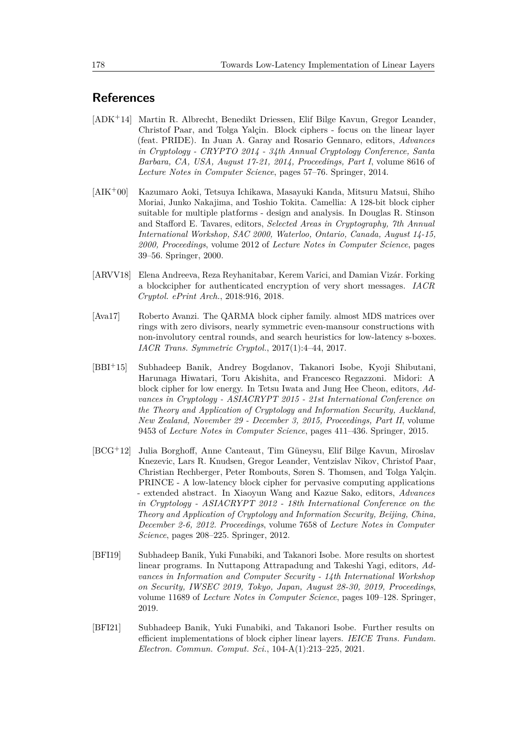# **References**

- <span id="page-20-6"></span>[ADK<sup>+</sup>14] Martin R. Albrecht, Benedikt Driessen, Elif Bilge Kavun, Gregor Leander, Christof Paar, and Tolga Yalçin. Block ciphers - focus on the linear layer (feat. PRIDE). In Juan A. Garay and Rosario Gennaro, editors, *Advances in Cryptology - CRYPTO 2014 - 34th Annual Cryptology Conference, Santa Barbara, CA, USA, August 17-21, 2014, Proceedings, Part I*, volume 8616 of *Lecture Notes in Computer Science*, pages 57–76. Springer, 2014.
- <span id="page-20-7"></span>[AIK<sup>+</sup>00] Kazumaro Aoki, Tetsuya Ichikawa, Masayuki Kanda, Mitsuru Matsui, Shiho Moriai, Junko Nakajima, and Toshio Tokita. Camellia: A 128-bit block cipher suitable for multiple platforms - design and analysis. In Douglas R. Stinson and Stafford E. Tavares, editors, *Selected Areas in Cryptography, 7th Annual International Workshop, SAC 2000, Waterloo, Ontario, Canada, August 14-15, 2000, Proceedings*, volume 2012 of *Lecture Notes in Computer Science*, pages 39–56. Springer, 2000.
- <span id="page-20-2"></span>[ARVV18] Elena Andreeva, Reza Reyhanitabar, Kerem Varici, and Damian Vizár. Forking a blockcipher for authenticated encryption of very short messages. *IACR Cryptol. ePrint Arch.*, 2018:916, 2018.
- <span id="page-20-4"></span>[Ava17] Roberto Avanzi. The QARMA block cipher family. almost MDS matrices over rings with zero divisors, nearly symmetric even-mansour constructions with non-involutory central rounds, and search heuristics for low-latency s-boxes. *IACR Trans. Symmetric Cryptol.*, 2017(1):4–44, 2017.
- <span id="page-20-1"></span>[BBI<sup>+</sup>15] Subhadeep Banik, Andrey Bogdanov, Takanori Isobe, Kyoji Shibutani, Harunaga Hiwatari, Toru Akishita, and Francesco Regazzoni. Midori: A block cipher for low energy. In Tetsu Iwata and Jung Hee Cheon, editors, *Advances in Cryptology - ASIACRYPT 2015 - 21st International Conference on the Theory and Application of Cryptology and Information Security, Auckland, New Zealand, November 29 - December 3, 2015, Proceedings, Part II*, volume 9453 of *Lecture Notes in Computer Science*, pages 411–436. Springer, 2015.
- <span id="page-20-5"></span>[BCG<sup>+</sup>12] Julia Borghoff, Anne Canteaut, Tim Güneysu, Elif Bilge Kavun, Miroslav Knezevic, Lars R. Knudsen, Gregor Leander, Ventzislav Nikov, Christof Paar, Christian Rechberger, Peter Rombouts, Søren S. Thomsen, and Tolga Yalçin. PRINCE - A low-latency block cipher for pervasive computing applications - extended abstract. In Xiaoyun Wang and Kazue Sako, editors, *Advances in Cryptology - ASIACRYPT 2012 - 18th International Conference on the Theory and Application of Cryptology and Information Security, Beijing, China, December 2-6, 2012. Proceedings*, volume 7658 of *Lecture Notes in Computer Science*, pages 208–225. Springer, 2012.
- <span id="page-20-0"></span>[BFI19] Subhadeep Banik, Yuki Funabiki, and Takanori Isobe. More results on shortest linear programs. In Nuttapong Attrapadung and Takeshi Yagi, editors, *Advances in Information and Computer Security - 14th International Workshop on Security, IWSEC 2019, Tokyo, Japan, August 28-30, 2019, Proceedings*, volume 11689 of *Lecture Notes in Computer Science*, pages 109–128. Springer, 2019.
- <span id="page-20-3"></span>[BFI21] Subhadeep Banik, Yuki Funabiki, and Takanori Isobe. Further results on efficient implementations of block cipher linear layers. *IEICE Trans. Fundam. Electron. Commun. Comput. Sci.*, 104-A(1):213–225, 2021.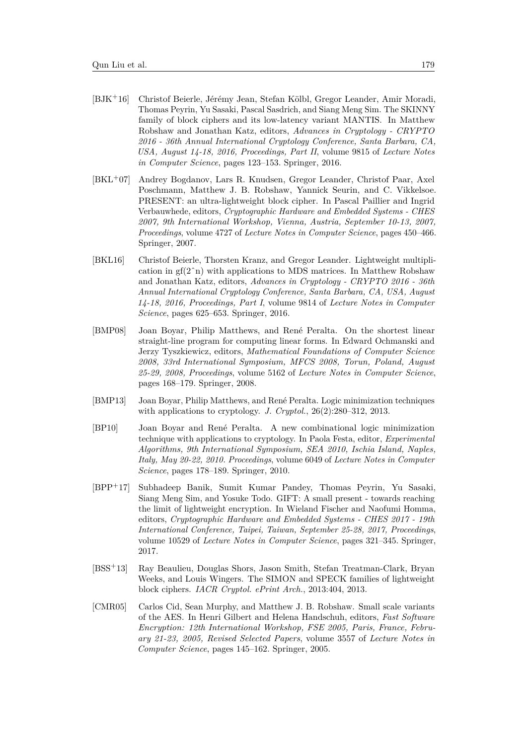- <span id="page-21-4"></span>[BJK<sup>+</sup>16] Christof Beierle, Jérémy Jean, Stefan Kölbl, Gregor Leander, Amir Moradi, Thomas Peyrin, Yu Sasaki, Pascal Sasdrich, and Siang Meng Sim. The SKINNY family of block ciphers and its low-latency variant MANTIS. In Matthew Robshaw and Jonathan Katz, editors, *Advances in Cryptology - CRYPTO 2016 - 36th Annual International Cryptology Conference, Santa Barbara, CA, USA, August 14-18, 2016, Proceedings, Part II*, volume 9815 of *Lecture Notes in Computer Science*, pages 123–153. Springer, 2016.
- <span id="page-21-2"></span>[BKL<sup>+</sup>07] Andrey Bogdanov, Lars R. Knudsen, Gregor Leander, Christof Paar, Axel Poschmann, Matthew J. B. Robshaw, Yannick Seurin, and C. Vikkelsoe. PRESENT: an ultra-lightweight block cipher. In Pascal Paillier and Ingrid Verbauwhede, editors, *Cryptographic Hardware and Embedded Systems - CHES 2007, 9th International Workshop, Vienna, Austria, September 10-13, 2007, Proceedings*, volume 4727 of *Lecture Notes in Computer Science*, pages 450–466. Springer, 2007.
- <span id="page-21-8"></span>[BKL16] Christof Beierle, Thorsten Kranz, and Gregor Leander. Lightweight multiplication in  $gf(2<sup>^</sup>n)$  with applications to MDS matrices. In Matthew Robshaw and Jonathan Katz, editors, *Advances in Cryptology - CRYPTO 2016 - 36th Annual International Cryptology Conference, Santa Barbara, CA, USA, August 14-18, 2016, Proceedings, Part I*, volume 9814 of *Lecture Notes in Computer Science*, pages 625–653. Springer, 2016.
- <span id="page-21-6"></span>[BMP08] Joan Boyar, Philip Matthews, and René Peralta. On the shortest linear straight-line program for computing linear forms. In Edward Ochmanski and Jerzy Tyszkiewicz, editors, *Mathematical Foundations of Computer Science 2008, 33rd International Symposium, MFCS 2008, Torun, Poland, August 25-29, 2008, Proceedings*, volume 5162 of *Lecture Notes in Computer Science*, pages 168–179. Springer, 2008.
- <span id="page-21-1"></span>[BMP13] Joan Boyar, Philip Matthews, and René Peralta. Logic minimization techniques with applications to cryptology. *J. Cryptol.*, 26(2):280–312, 2013.
- <span id="page-21-0"></span>[BP10] Joan Boyar and René Peralta. A new combinational logic minimization technique with applications to cryptology. In Paola Festa, editor, *Experimental Algorithms, 9th International Symposium, SEA 2010, Ischia Island, Naples, Italy, May 20-22, 2010. Proceedings*, volume 6049 of *Lecture Notes in Computer Science*, pages 178–189. Springer, 2010.
- <span id="page-21-5"></span>[BPP<sup>+</sup>17] Subhadeep Banik, Sumit Kumar Pandey, Thomas Peyrin, Yu Sasaki, Siang Meng Sim, and Yosuke Todo. GIFT: A small present - towards reaching the limit of lightweight encryption. In Wieland Fischer and Naofumi Homma, editors, *Cryptographic Hardware and Embedded Systems - CHES 2017 - 19th International Conference, Taipei, Taiwan, September 25-28, 2017, Proceedings*, volume 10529 of *Lecture Notes in Computer Science*, pages 321–345. Springer, 2017.
- <span id="page-21-3"></span>[BSS<sup>+</sup>13] Ray Beaulieu, Douglas Shors, Jason Smith, Stefan Treatman-Clark, Bryan Weeks, and Louis Wingers. The SIMON and SPECK families of lightweight block ciphers. *IACR Cryptol. ePrint Arch.*, 2013:404, 2013.
- <span id="page-21-7"></span>[CMR05] Carlos Cid, Sean Murphy, and Matthew J. B. Robshaw. Small scale variants of the AES. In Henri Gilbert and Helena Handschuh, editors, *Fast Software Encryption: 12th International Workshop, FSE 2005, Paris, France, February 21-23, 2005, Revised Selected Papers*, volume 3557 of *Lecture Notes in Computer Science*, pages 145–162. Springer, 2005.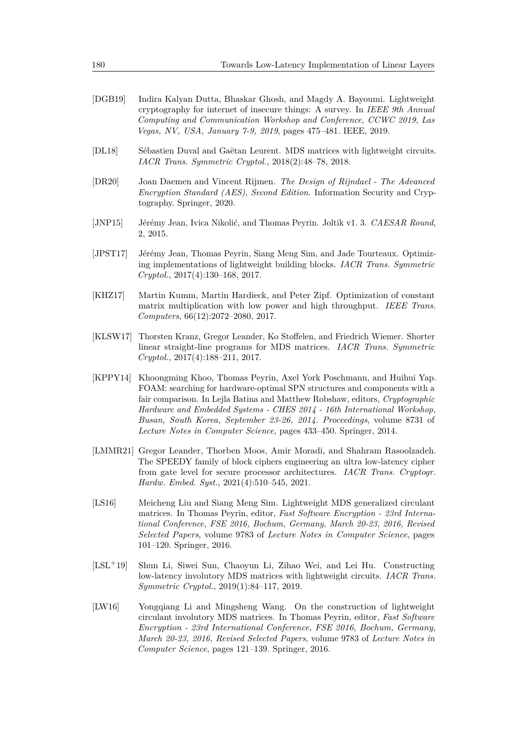- <span id="page-22-0"></span>[DGB19] Indira Kalyan Dutta, Bhaskar Ghosh, and Magdy A. Bayoumi. Lightweight cryptography for internet of insecure things: A survey. In *IEEE 9th Annual Computing and Communication Workshop and Conference, CCWC 2019, Las Vegas, NV, USA, January 7-9, 2019*, pages 475–481. IEEE, 2019.
- <span id="page-22-2"></span>[DL18] Sébastien Duval and Gaëtan Leurent. MDS matrices with lightweight circuits. *IACR Trans. Symmetric Cryptol.*, 2018(2):48–78, 2018.
- <span id="page-22-4"></span>[DR20] Joan Daemen and Vincent Rijmen. *The Design of Rijndael - The Advanced Encryption Standard (AES), Second Edition*. Information Security and Cryptography. Springer, 2020.
- <span id="page-22-7"></span>[JNP15] Jérémy Jean, Ivica Nikolić, and Thomas Peyrin. Joltik v1. 3. *CAESAR Round*, 2, 2015.
- <span id="page-22-10"></span>[JPST17] Jérémy Jean, Thomas Peyrin, Siang Meng Sim, and Jade Tourteaux. Optimizing implementations of lightweight building blocks. *IACR Trans. Symmetric Cryptol.*, 2017(4):130–168, 2017.
- <span id="page-22-6"></span>[KHZ17] Martin Kumm, Martin Hardieck, and Peter Zipf. Optimization of constant matrix multiplication with low power and high throughput. *IEEE Trans. Computers*, 66(12):2072–2080, 2017.
- <span id="page-22-1"></span>[KLSW17] Thorsten Kranz, Gregor Leander, Ko Stoffelen, and Friedrich Wiemer. Shorter linear straight-line programs for MDS matrices. *IACR Trans. Symmetric Cryptol.*, 2017(4):188–211, 2017.
- <span id="page-22-11"></span>[KPPY14] Khoongming Khoo, Thomas Peyrin, Axel York Poschmann, and Huihui Yap. FOAM: searching for hardware-optimal SPN structures and components with a fair comparison. In Lejla Batina and Matthew Robshaw, editors, *Cryptographic Hardware and Embedded Systems - CHES 2014 - 16th International Workshop, Busan, South Korea, September 23-26, 2014. Proceedings*, volume 8731 of *Lecture Notes in Computer Science*, pages 433–450. Springer, 2014.
- <span id="page-22-3"></span>[LMMR21] Gregor Leander, Thorben Moos, Amir Moradi, and Shahram Rasoolzadeh. The SPEEDY family of block ciphers engineering an ultra low-latency cipher from gate level for secure processor architectures. *IACR Trans. Cryptogr. Hardw. Embed. Syst.*, 2021(4):510–545, 2021.
- <span id="page-22-8"></span>[LS16] Meicheng Liu and Siang Meng Sim. Lightweight MDS generalized circulant matrices. In Thomas Peyrin, editor, *Fast Software Encryption - 23rd International Conference, FSE 2016, Bochum, Germany, March 20-23, 2016, Revised Selected Papers*, volume 9783 of *Lecture Notes in Computer Science*, pages 101–120. Springer, 2016.
- <span id="page-22-5"></span>[LSL<sup>+</sup>19] Shun Li, Siwei Sun, Chaoyun Li, Zihao Wei, and Lei Hu. Constructing low-latency involutory MDS matrices with lightweight circuits. *IACR Trans. Symmetric Cryptol.*, 2019(1):84–117, 2019.
- <span id="page-22-9"></span>[LW16] Yongqiang Li and Mingsheng Wang. On the construction of lightweight circulant involutory MDS matrices. In Thomas Peyrin, editor, *Fast Software Encryption - 23rd International Conference, FSE 2016, Bochum, Germany, March 20-23, 2016, Revised Selected Papers*, volume 9783 of *Lecture Notes in Computer Science*, pages 121–139. Springer, 2016.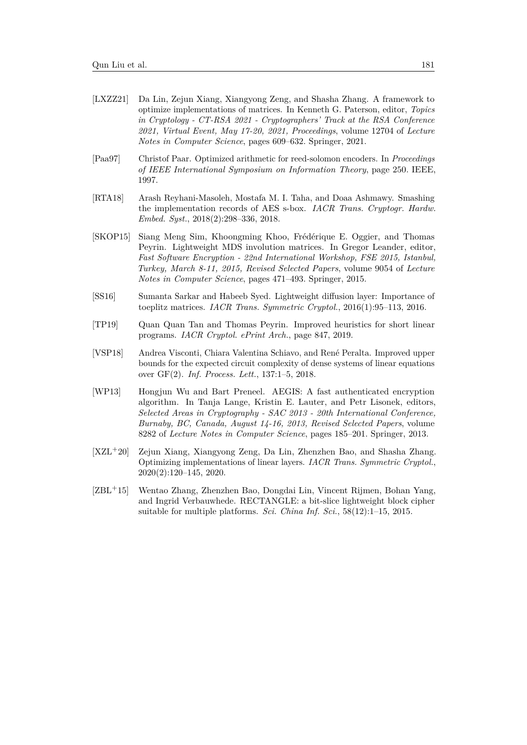- <span id="page-23-2"></span>[LXZZ21] Da Lin, Zejun Xiang, Xiangyong Zeng, and Shasha Zhang. A framework to optimize implementations of matrices. In Kenneth G. Paterson, editor, *Topics in Cryptology - CT-RSA 2021 - Cryptographers' Track at the RSA Conference 2021, Virtual Event, May 17-20, 2021, Proceedings*, volume 12704 of *Lecture Notes in Computer Science*, pages 609–632. Springer, 2021.
- <span id="page-23-5"></span>[Paa97] Christof Paar. Optimized arithmetic for reed-solomon encoders. In *Proceedings of IEEE International Symposium on Information Theory*, page 250. IEEE, 1997.
- <span id="page-23-7"></span>[RTA18] Arash Reyhani-Masoleh, Mostafa M. I. Taha, and Doaa Ashmawy. Smashing the implementation records of AES s-box. *IACR Trans. Cryptogr. Hardw. Embed. Syst.*, 2018(2):298–336, 2018.
- <span id="page-23-8"></span>[SKOP15] Siang Meng Sim, Khoongming Khoo, Frédérique E. Oggier, and Thomas Peyrin. Lightweight MDS involution matrices. In Gregor Leander, editor, *Fast Software Encryption - 22nd International Workshop, FSE 2015, Istanbul, Turkey, March 8-11, 2015, Revised Selected Papers*, volume 9054 of *Lecture Notes in Computer Science*, pages 471–493. Springer, 2015.
- <span id="page-23-9"></span>[SS16] Sumanta Sarkar and Habeeb Syed. Lightweight diffusion layer: Importance of toeplitz matrices. *IACR Trans. Symmetric Cryptol.*, 2016(1):95–113, 2016.
- <span id="page-23-0"></span>[TP19] Quan Quan Tan and Thomas Peyrin. Improved heuristics for short linear programs. *IACR Cryptol. ePrint Arch.*, page 847, 2019.
- <span id="page-23-6"></span>[VSP18] Andrea Visconti, Chiara Valentina Schiavo, and René Peralta. Improved upper bounds for the expected circuit complexity of dense systems of linear equations over GF(2). *Inf. Process. Lett.*, 137:1–5, 2018.
- <span id="page-23-4"></span>[WP13] Hongjun Wu and Bart Preneel. AEGIS: A fast authenticated encryption algorithm. In Tanja Lange, Kristin E. Lauter, and Petr Lisonek, editors, *Selected Areas in Cryptography - SAC 2013 - 20th International Conference, Burnaby, BC, Canada, August 14-16, 2013, Revised Selected Papers*, volume 8282 of *Lecture Notes in Computer Science*, pages 185–201. Springer, 2013.
- <span id="page-23-1"></span>[XZL<sup>+</sup>20] Zejun Xiang, Xiangyong Zeng, Da Lin, Zhenzhen Bao, and Shasha Zhang. Optimizing implementations of linear layers. *IACR Trans. Symmetric Cryptol.*, 2020(2):120–145, 2020.
- <span id="page-23-3"></span>[ZBL<sup>+</sup>15] Wentao Zhang, Zhenzhen Bao, Dongdai Lin, Vincent Rijmen, Bohan Yang, and Ingrid Verbauwhede. RECTANGLE: a bit-slice lightweight block cipher suitable for multiple platforms. *Sci. China Inf. Sci.*, 58(12):1–15, 2015.